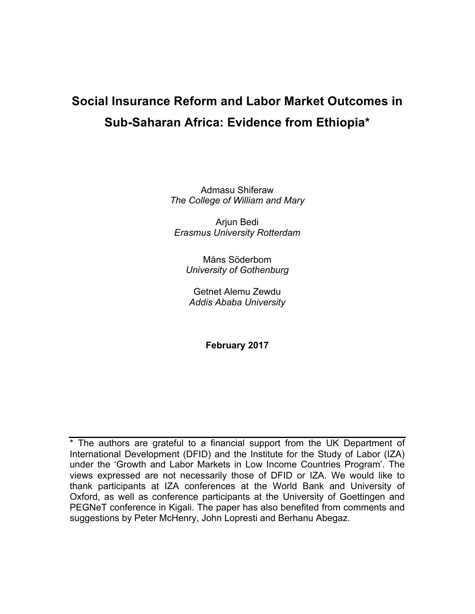# **Social Insurance Reform and Labor Market Outcomes in Sub-Saharan Africa: Evidence from Ethiopia\***

Admasu Shiferaw *The College of William and Mary*

Arjun Bedi *Erasmus University Rotterdam*

Måns Söderbom *University of Gothenburg*

Getnet Alemu Zewdu *Addis Ababa University*

**February 2017**

\* The authors are grateful to a financial support from the UK Department of International Development (DFID) and the Institute for the Study of Labor (IZA) under the 'Growth and Labor Markets in Low Income Countries Program'. The views expressed are not necessarily those of DFID or IZA. We would like to thank participants at IZA conferences at the World Bank and University of Oxford, as well as conference participants at the University of Goettingen and PEGNeT conference in Kigali. The paper has also benefited from comments and suggestions by Peter McHenry, John Lopresti and Berhanu Abegaz.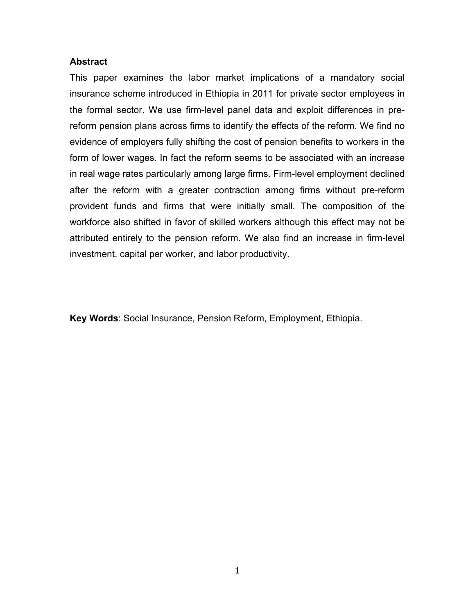# **Abstract**

This paper examines the labor market implications of a mandatory social insurance scheme introduced in Ethiopia in 2011 for private sector employees in the formal sector. We use firm-level panel data and exploit differences in prereform pension plans across firms to identify the effects of the reform. We find no evidence of employers fully shifting the cost of pension benefits to workers in the form of lower wages. In fact the reform seems to be associated with an increase in real wage rates particularly among large firms. Firm-level employment declined after the reform with a greater contraction among firms without pre-reform provident funds and firms that were initially small. The composition of the workforce also shifted in favor of skilled workers although this effect may not be attributed entirely to the pension reform. We also find an increase in firm-level investment, capital per worker, and labor productivity.

**Key Words**: Social Insurance, Pension Reform, Employment, Ethiopia.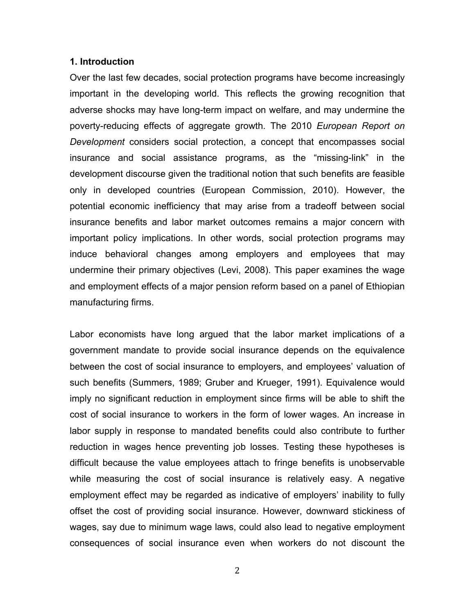#### **1. Introduction**

Over the last few decades, social protection programs have become increasingly important in the developing world. This reflects the growing recognition that adverse shocks may have long-term impact on welfare, and may undermine the poverty-reducing effects of aggregate growth. The 2010 *European Report on Development* considers social protection, a concept that encompasses social insurance and social assistance programs, as the "missing-link" in the development discourse given the traditional notion that such benefits are feasible only in developed countries (European Commission, 2010). However, the potential economic inefficiency that may arise from a tradeoff between social insurance benefits and labor market outcomes remains a major concern with important policy implications. In other words, social protection programs may induce behavioral changes among employers and employees that may undermine their primary objectives (Levi, 2008). This paper examines the wage and employment effects of a major pension reform based on a panel of Ethiopian manufacturing firms.

Labor economists have long argued that the labor market implications of a government mandate to provide social insurance depends on the equivalence between the cost of social insurance to employers, and employees' valuation of such benefits (Summers, 1989; Gruber and Krueger, 1991). Equivalence would imply no significant reduction in employment since firms will be able to shift the cost of social insurance to workers in the form of lower wages. An increase in labor supply in response to mandated benefits could also contribute to further reduction in wages hence preventing job losses. Testing these hypotheses is difficult because the value employees attach to fringe benefits is unobservable while measuring the cost of social insurance is relatively easy. A negative employment effect may be regarded as indicative of employers' inability to fully offset the cost of providing social insurance. However, downward stickiness of wages, say due to minimum wage laws, could also lead to negative employment consequences of social insurance even when workers do not discount the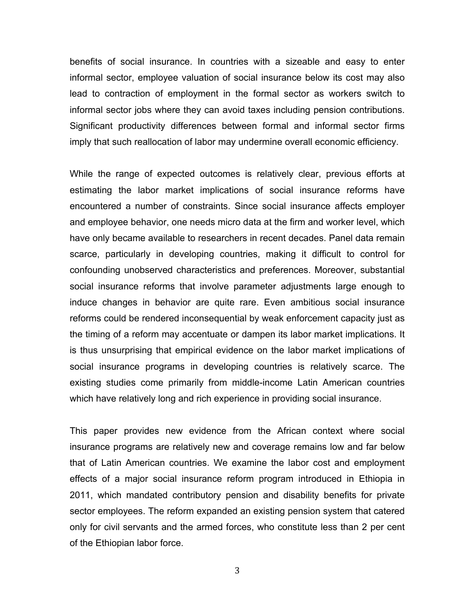benefits of social insurance. In countries with a sizeable and easy to enter informal sector, employee valuation of social insurance below its cost may also lead to contraction of employment in the formal sector as workers switch to informal sector jobs where they can avoid taxes including pension contributions. Significant productivity differences between formal and informal sector firms imply that such reallocation of labor may undermine overall economic efficiency.

While the range of expected outcomes is relatively clear, previous efforts at estimating the labor market implications of social insurance reforms have encountered a number of constraints. Since social insurance affects employer and employee behavior, one needs micro data at the firm and worker level, which have only became available to researchers in recent decades. Panel data remain scarce, particularly in developing countries, making it difficult to control for confounding unobserved characteristics and preferences. Moreover, substantial social insurance reforms that involve parameter adjustments large enough to induce changes in behavior are quite rare. Even ambitious social insurance reforms could be rendered inconsequential by weak enforcement capacity just as the timing of a reform may accentuate or dampen its labor market implications. It is thus unsurprising that empirical evidence on the labor market implications of social insurance programs in developing countries is relatively scarce. The existing studies come primarily from middle-income Latin American countries which have relatively long and rich experience in providing social insurance.

This paper provides new evidence from the African context where social insurance programs are relatively new and coverage remains low and far below that of Latin American countries. We examine the labor cost and employment effects of a major social insurance reform program introduced in Ethiopia in 2011, which mandated contributory pension and disability benefits for private sector employees. The reform expanded an existing pension system that catered only for civil servants and the armed forces, who constitute less than 2 per cent of the Ethiopian labor force.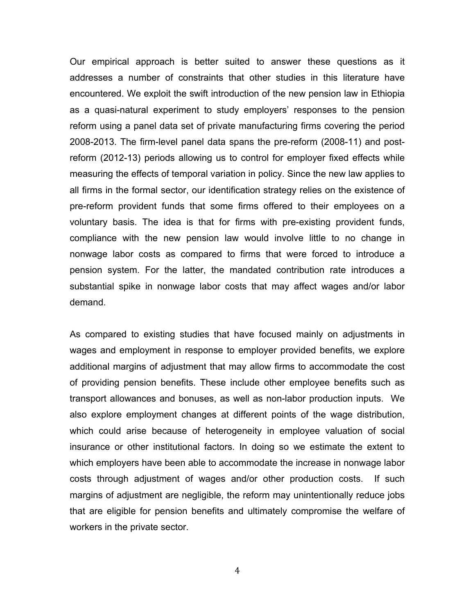Our empirical approach is better suited to answer these questions as it addresses a number of constraints that other studies in this literature have encountered. We exploit the swift introduction of the new pension law in Ethiopia as a quasi-natural experiment to study employers' responses to the pension reform using a panel data set of private manufacturing firms covering the period 2008-2013. The firm-level panel data spans the pre-reform (2008-11) and postreform (2012-13) periods allowing us to control for employer fixed effects while measuring the effects of temporal variation in policy. Since the new law applies to all firms in the formal sector, our identification strategy relies on the existence of pre-reform provident funds that some firms offered to their employees on a voluntary basis. The idea is that for firms with pre-existing provident funds, compliance with the new pension law would involve little to no change in nonwage labor costs as compared to firms that were forced to introduce a pension system. For the latter, the mandated contribution rate introduces a substantial spike in nonwage labor costs that may affect wages and/or labor demand.

As compared to existing studies that have focused mainly on adjustments in wages and employment in response to employer provided benefits, we explore additional margins of adjustment that may allow firms to accommodate the cost of providing pension benefits. These include other employee benefits such as transport allowances and bonuses, as well as non-labor production inputs. We also explore employment changes at different points of the wage distribution, which could arise because of heterogeneity in employee valuation of social insurance or other institutional factors. In doing so we estimate the extent to which employers have been able to accommodate the increase in nonwage labor costs through adjustment of wages and/or other production costs. If such margins of adjustment are negligible, the reform may unintentionally reduce jobs that are eligible for pension benefits and ultimately compromise the welfare of workers in the private sector.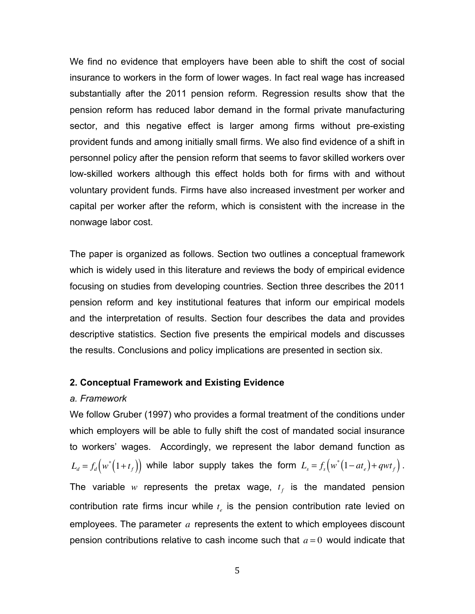We find no evidence that employers have been able to shift the cost of social insurance to workers in the form of lower wages. In fact real wage has increased substantially after the 2011 pension reform. Regression results show that the pension reform has reduced labor demand in the formal private manufacturing sector, and this negative effect is larger among firms without pre-existing provident funds and among initially small firms. We also find evidence of a shift in personnel policy after the pension reform that seems to favor skilled workers over low-skilled workers although this effect holds both for firms with and without voluntary provident funds. Firms have also increased investment per worker and capital per worker after the reform, which is consistent with the increase in the nonwage labor cost.

The paper is organized as follows. Section two outlines a conceptual framework which is widely used in this literature and reviews the body of empirical evidence focusing on studies from developing countries. Section three describes the 2011 pension reform and key institutional features that inform our empirical models and the interpretation of results. Section four describes the data and provides descriptive statistics. Section five presents the empirical models and discusses the results. Conclusions and policy implications are presented in section six.

# **2. Conceptual Framework and Existing Evidence**

# *a. Framework*

We follow Gruber (1997) who provides a formal treatment of the conditions under which employers will be able to fully shift the cost of mandated social insurance to workers' wages. Accordingly, we represent the labor demand function as  $L_d = f_d(w^*(1+t_f))$  while labor supply takes the form  $L_s = f_s(w^*(1-at_e)+qwt_f)$ . The variable *w* represents the pretax wage,  $t_f$  is the mandated pension contribution rate firms incur while  $t_{e}$  is the pension contribution rate levied on employees. The parameter *a* represents the extent to which employees discount pension contributions relative to cash income such that *a* = 0 would indicate that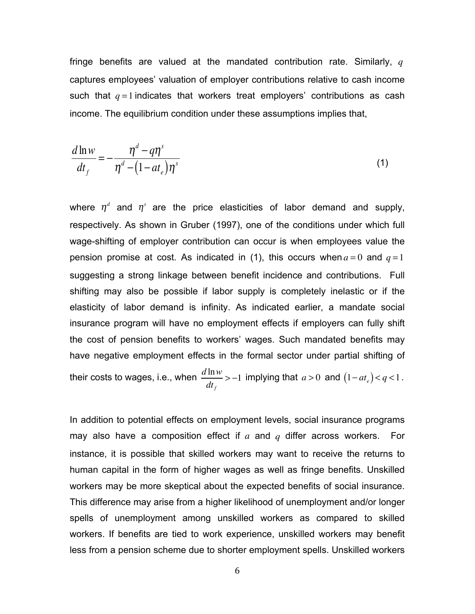fringe benefits are valued at the mandated contribution rate. Similarly, *q* captures employees' valuation of employer contributions relative to cash income such that  $q = 1$  indicates that workers treat employers' contributions as cash income. The equilibrium condition under these assumptions implies that,

$$
\frac{d\ln w}{dt_f} = -\frac{\eta^d - q\eta^s}{\eta^d - (1 - at_e)\eta^s}
$$
\n(1)

where  $\eta^d$  and  $\eta^s$  are the price elasticities of labor demand and supply, respectively. As shown in Gruber (1997), one of the conditions under which full wage-shifting of employer contribution can occur is when employees value the pension promise at cost. As indicated in (1), this occurs when  $a = 0$  and  $q = 1$ suggesting a strong linkage between benefit incidence and contributions. Full shifting may also be possible if labor supply is completely inelastic or if the elasticity of labor demand is infinity. As indicated earlier, a mandate social insurance program will have no employment effects if employers can fully shift the cost of pension benefits to workers' wages. Such mandated benefits may have negative employment effects in the formal sector under partial shifting of their costs to wages, i.e., when  $\frac{d \ln w}{dx}$  $dt$ <sub>f</sub>  $> -1$  implying that  $a > 0$  and  $(1 - at_e) < q < 1$ .

In addition to potential effects on employment levels, social insurance programs may also have a composition effect if *a* and *q* differ across workers. For instance, it is possible that skilled workers may want to receive the returns to human capital in the form of higher wages as well as fringe benefits. Unskilled workers may be more skeptical about the expected benefits of social insurance. This difference may arise from a higher likelihood of unemployment and/or longer spells of unemployment among unskilled workers as compared to skilled workers. If benefits are tied to work experience, unskilled workers may benefit less from a pension scheme due to shorter employment spells. Unskilled workers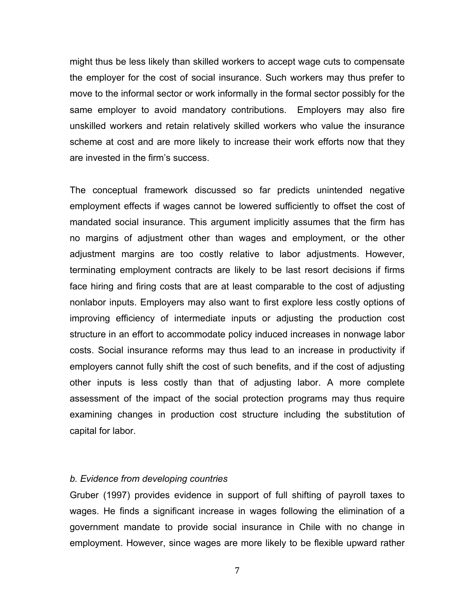might thus be less likely than skilled workers to accept wage cuts to compensate the employer for the cost of social insurance. Such workers may thus prefer to move to the informal sector or work informally in the formal sector possibly for the same employer to avoid mandatory contributions. Employers may also fire unskilled workers and retain relatively skilled workers who value the insurance scheme at cost and are more likely to increase their work efforts now that they are invested in the firm's success.

The conceptual framework discussed so far predicts unintended negative employment effects if wages cannot be lowered sufficiently to offset the cost of mandated social insurance. This argument implicitly assumes that the firm has no margins of adjustment other than wages and employment, or the other adjustment margins are too costly relative to labor adjustments. However, terminating employment contracts are likely to be last resort decisions if firms face hiring and firing costs that are at least comparable to the cost of adjusting nonlabor inputs. Employers may also want to first explore less costly options of improving efficiency of intermediate inputs or adjusting the production cost structure in an effort to accommodate policy induced increases in nonwage labor costs. Social insurance reforms may thus lead to an increase in productivity if employers cannot fully shift the cost of such benefits, and if the cost of adjusting other inputs is less costly than that of adjusting labor. A more complete assessment of the impact of the social protection programs may thus require examining changes in production cost structure including the substitution of capital for labor.

## *b. Evidence from developing countries*

Gruber (1997) provides evidence in support of full shifting of payroll taxes to wages. He finds a significant increase in wages following the elimination of a government mandate to provide social insurance in Chile with no change in employment. However, since wages are more likely to be flexible upward rather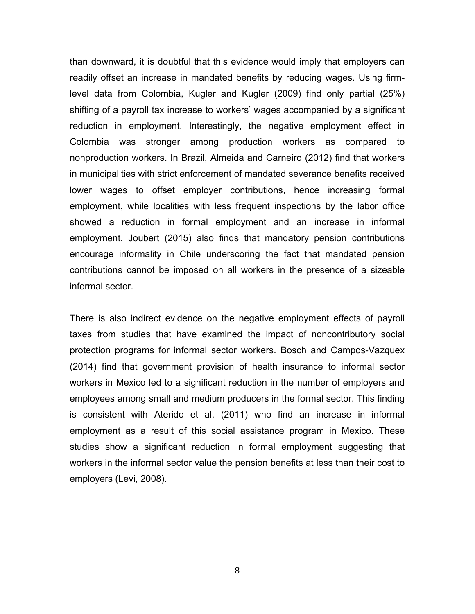than downward, it is doubtful that this evidence would imply that employers can readily offset an increase in mandated benefits by reducing wages. Using firmlevel data from Colombia, Kugler and Kugler (2009) find only partial (25%) shifting of a payroll tax increase to workers' wages accompanied by a significant reduction in employment. Interestingly, the negative employment effect in Colombia was stronger among production workers as compared to nonproduction workers. In Brazil, Almeida and Carneiro (2012) find that workers in municipalities with strict enforcement of mandated severance benefits received lower wages to offset employer contributions, hence increasing formal employment, while localities with less frequent inspections by the labor office showed a reduction in formal employment and an increase in informal employment. Joubert (2015) also finds that mandatory pension contributions encourage informality in Chile underscoring the fact that mandated pension contributions cannot be imposed on all workers in the presence of a sizeable informal sector.

There is also indirect evidence on the negative employment effects of payroll taxes from studies that have examined the impact of noncontributory social protection programs for informal sector workers. Bosch and Campos-Vazquex (2014) find that government provision of health insurance to informal sector workers in Mexico led to a significant reduction in the number of employers and employees among small and medium producers in the formal sector. This finding is consistent with Aterido et al. (2011) who find an increase in informal employment as a result of this social assistance program in Mexico. These studies show a significant reduction in formal employment suggesting that workers in the informal sector value the pension benefits at less than their cost to employers (Levi, 2008).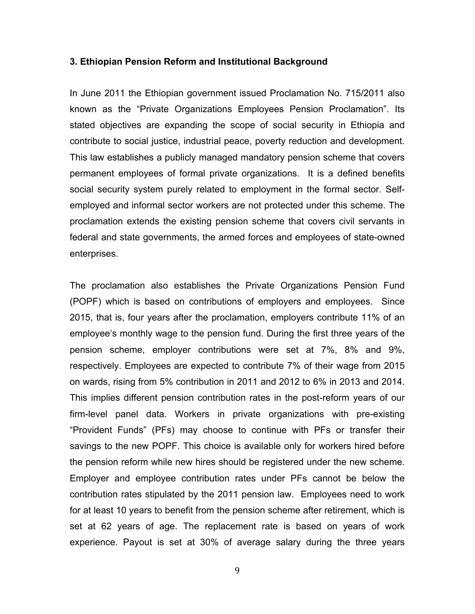#### **3. Ethiopian Pension Reform and Institutional Background**

In June 2011 the Ethiopian government issued Proclamation No. 715/2011 also known as the "Private Organizations Employees Pension Proclamation". Its stated objectives are expanding the scope of social security in Ethiopia and contribute to social justice, industrial peace, poverty reduction and development. This law establishes a publicly managed mandatory pension scheme that covers permanent employees of formal private organizations. It is a defined benefits social security system purely related to employment in the formal sector. Selfemployed and informal sector workers are not protected under this scheme. The proclamation extends the existing pension scheme that covers civil servants in federal and state governments, the armed forces and employees of state-owned enterprises.

The proclamation also establishes the Private Organizations Pension Fund (POPF) which is based on contributions of employers and employees. Since 2015, that is, four years after the proclamation, employers contribute 11% of an employee's monthly wage to the pension fund. During the first three years of the pension scheme, employer contributions were set at 7%, 8% and 9%, respectively. Employees are expected to contribute 7% of their wage from 2015 on wards, rising from 5% contribution in 2011 and 2012 to 6% in 2013 and 2014. This implies different pension contribution rates in the post-reform years of our firm-level panel data. Workers in private organizations with pre-existing "Provident Funds" (PFs) may choose to continue with PFs or transfer their savings to the new POPF. This choice is available only for workers hired before the pension reform while new hires should be registered under the new scheme. Employer and employee contribution rates under PFs cannot be below the contribution rates stipulated by the 2011 pension law. Employees need to work for at least 10 years to benefit from the pension scheme after retirement, which is set at 62 years of age. The replacement rate is based on years of work experience. Payout is set at 30% of average salary during the three years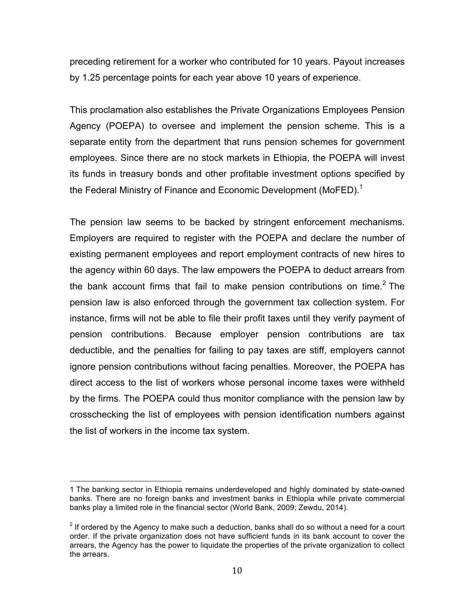preceding retirement for a worker who contributed for 10 years. Payout increases by 1.25 percentage points for each year above 10 years of experience.

This proclamation also establishes the Private Organizations Employees Pension Agency (POEPA) to oversee and implement the pension scheme. This is a separate entity from the department that runs pension schemes for government employees. Since there are no stock markets in Ethiopia, the POEPA will invest its funds in treasury bonds and other profitable investment options specified by the Federal Ministry of Finance and Economic Development (MoFED).<sup>1</sup>

The pension law seems to be backed by stringent enforcement mechanisms. Employers are required to register with the POEPA and declare the number of existing permanent employees and report employment contracts of new hires to the agency within 60 days. The law empowers the POEPA to deduct arrears from the bank account firms that fail to make pension contributions on time. <sup>2</sup> The pension law is also enforced through the government tax collection system. For instance, firms will not be able to file their profit taxes until they verify payment of pension contributions. Because employer pension contributions are tax deductible, and the penalties for failing to pay taxes are stiff, employers cannot ignore pension contributions without facing penalties. Moreover, the POEPA has direct access to the list of workers whose personal income taxes were withheld by the firms. The POEPA could thus monitor compliance with the pension law by crosschecking the list of employees with pension identification numbers against the list of workers in the income tax system.

<sup>1</sup> The banking sector in Ethiopia remains underdeveloped and highly dominated by state-owned banks. There are no foreign banks and investment banks in Ethiopia while private commercial banks play a limited role in the financial sector (World Bank, 2009; Zewdu, 2014).

 $2$  If ordered by the Agency to make such a deduction, banks shall do so without a need for a court order. If the private organization does not have sufficient funds in its bank account to cover the arrears, the Agency has the power to liquidate the properties of the private organization to collect the arrears.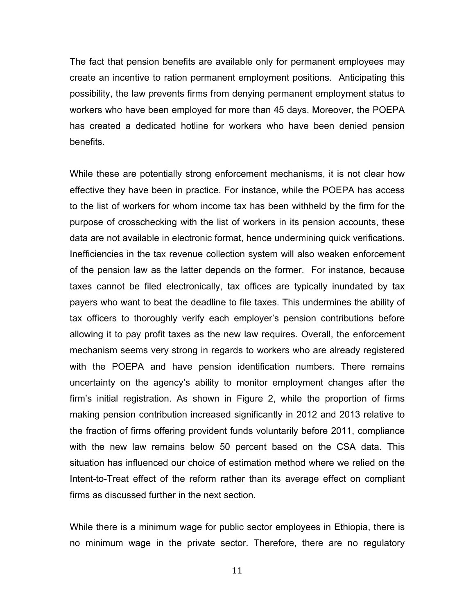The fact that pension benefits are available only for permanent employees may create an incentive to ration permanent employment positions. Anticipating this possibility, the law prevents firms from denying permanent employment status to workers who have been employed for more than 45 days. Moreover, the POEPA has created a dedicated hotline for workers who have been denied pension benefits.

While these are potentially strong enforcement mechanisms, it is not clear how effective they have been in practice. For instance, while the POEPA has access to the list of workers for whom income tax has been withheld by the firm for the purpose of crosschecking with the list of workers in its pension accounts, these data are not available in electronic format, hence undermining quick verifications. Inefficiencies in the tax revenue collection system will also weaken enforcement of the pension law as the latter depends on the former. For instance, because taxes cannot be filed electronically, tax offices are typically inundated by tax payers who want to beat the deadline to file taxes. This undermines the ability of tax officers to thoroughly verify each employer's pension contributions before allowing it to pay profit taxes as the new law requires. Overall, the enforcement mechanism seems very strong in regards to workers who are already registered with the POEPA and have pension identification numbers. There remains uncertainty on the agency's ability to monitor employment changes after the firm's initial registration. As shown in Figure 2, while the proportion of firms making pension contribution increased significantly in 2012 and 2013 relative to the fraction of firms offering provident funds voluntarily before 2011, compliance with the new law remains below 50 percent based on the CSA data. This situation has influenced our choice of estimation method where we relied on the Intent-to-Treat effect of the reform rather than its average effect on compliant firms as discussed further in the next section.

While there is a minimum wage for public sector employees in Ethiopia, there is no minimum wage in the private sector. Therefore, there are no regulatory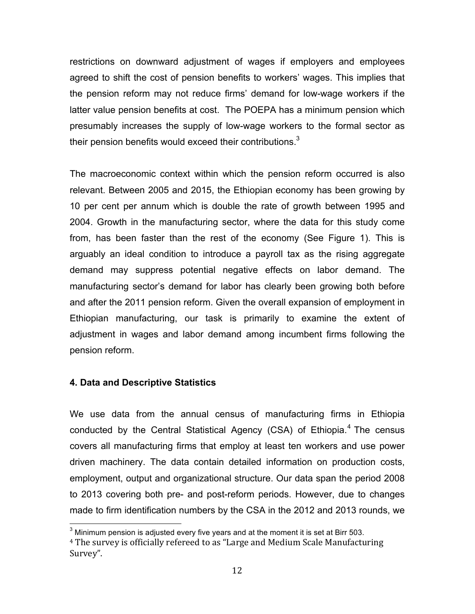restrictions on downward adjustment of wages if employers and employees agreed to shift the cost of pension benefits to workers' wages. This implies that the pension reform may not reduce firms' demand for low-wage workers if the latter value pension benefits at cost. The POEPA has a minimum pension which presumably increases the supply of low-wage workers to the formal sector as their pension benefits would exceed their contributions. $3$ 

The macroeconomic context within which the pension reform occurred is also relevant. Between 2005 and 2015, the Ethiopian economy has been growing by 10 per cent per annum which is double the rate of growth between 1995 and 2004. Growth in the manufacturing sector, where the data for this study come from, has been faster than the rest of the economy (See Figure 1). This is arguably an ideal condition to introduce a payroll tax as the rising aggregate demand may suppress potential negative effects on labor demand. The manufacturing sector's demand for labor has clearly been growing both before and after the 2011 pension reform. Given the overall expansion of employment in Ethiopian manufacturing, our task is primarily to examine the extent of adjustment in wages and labor demand among incumbent firms following the pension reform.

# **4. Data and Descriptive Statistics**

We use data from the annual census of manufacturing firms in Ethiopia conducted by the Central Statistical Agency (CSA) of Ethiopia.<sup>4</sup> The census covers all manufacturing firms that employ at least ten workers and use power driven machinery. The data contain detailed information on production costs, employment, output and organizational structure. Our data span the period 2008 to 2013 covering both pre- and post-reform periods. However, due to changes made to firm identification numbers by the CSA in the 2012 and 2013 rounds, we

 $3$  Minimum pension is adjusted every five years and at the moment it is set at Birr 503.

 $4$  The survey is officially refereed to as "Large and Medium Scale Manufacturing Survey".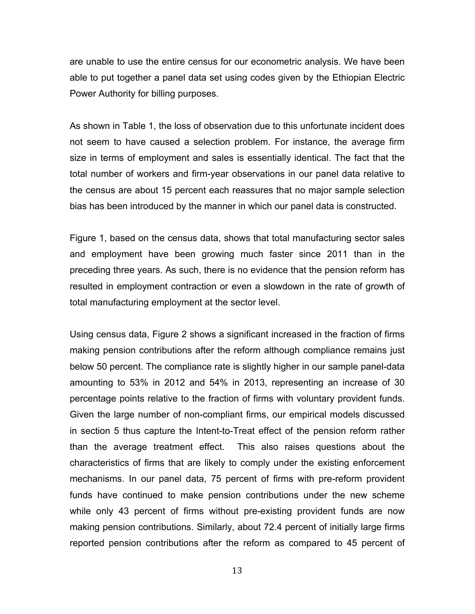are unable to use the entire census for our econometric analysis. We have been able to put together a panel data set using codes given by the Ethiopian Electric Power Authority for billing purposes.

As shown in Table 1, the loss of observation due to this unfortunate incident does not seem to have caused a selection problem. For instance, the average firm size in terms of employment and sales is essentially identical. The fact that the total number of workers and firm-year observations in our panel data relative to the census are about 15 percent each reassures that no major sample selection bias has been introduced by the manner in which our panel data is constructed.

Figure 1, based on the census data, shows that total manufacturing sector sales and employment have been growing much faster since 2011 than in the preceding three years. As such, there is no evidence that the pension reform has resulted in employment contraction or even a slowdown in the rate of growth of total manufacturing employment at the sector level.

Using census data, Figure 2 shows a significant increased in the fraction of firms making pension contributions after the reform although compliance remains just below 50 percent. The compliance rate is slightly higher in our sample panel-data amounting to 53% in 2012 and 54% in 2013, representing an increase of 30 percentage points relative to the fraction of firms with voluntary provident funds. Given the large number of non-compliant firms, our empirical models discussed in section 5 thus capture the Intent-to-Treat effect of the pension reform rather than the average treatment effect. This also raises questions about the characteristics of firms that are likely to comply under the existing enforcement mechanisms. In our panel data, 75 percent of firms with pre-reform provident funds have continued to make pension contributions under the new scheme while only 43 percent of firms without pre-existing provident funds are now making pension contributions. Similarly, about 72.4 percent of initially large firms reported pension contributions after the reform as compared to 45 percent of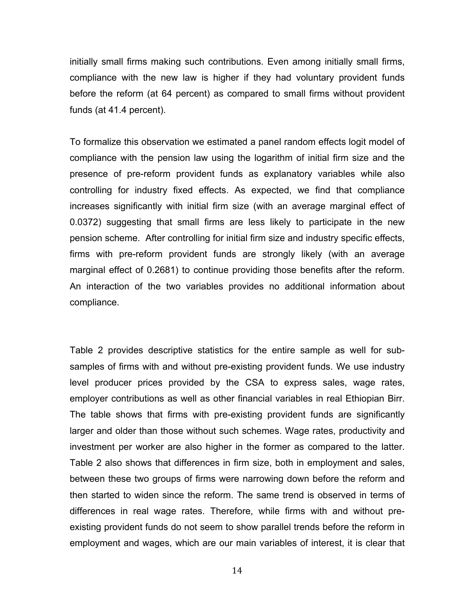initially small firms making such contributions. Even among initially small firms, compliance with the new law is higher if they had voluntary provident funds before the reform (at 64 percent) as compared to small firms without provident funds (at 41.4 percent).

To formalize this observation we estimated a panel random effects logit model of compliance with the pension law using the logarithm of initial firm size and the presence of pre-reform provident funds as explanatory variables while also controlling for industry fixed effects. As expected, we find that compliance increases significantly with initial firm size (with an average marginal effect of 0.0372) suggesting that small firms are less likely to participate in the new pension scheme. After controlling for initial firm size and industry specific effects, firms with pre-reform provident funds are strongly likely (with an average marginal effect of 0.2681) to continue providing those benefits after the reform. An interaction of the two variables provides no additional information about compliance.

Table 2 provides descriptive statistics for the entire sample as well for subsamples of firms with and without pre-existing provident funds. We use industry level producer prices provided by the CSA to express sales, wage rates, employer contributions as well as other financial variables in real Ethiopian Birr. The table shows that firms with pre-existing provident funds are significantly larger and older than those without such schemes. Wage rates, productivity and investment per worker are also higher in the former as compared to the latter. Table 2 also shows that differences in firm size, both in employment and sales, between these two groups of firms were narrowing down before the reform and then started to widen since the reform. The same trend is observed in terms of differences in real wage rates. Therefore, while firms with and without preexisting provident funds do not seem to show parallel trends before the reform in employment and wages, which are our main variables of interest, it is clear that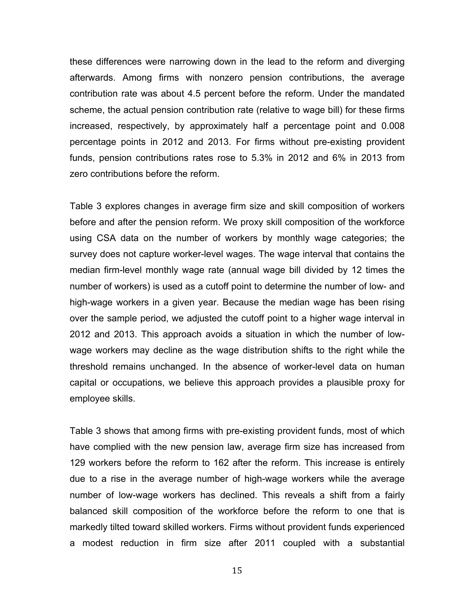these differences were narrowing down in the lead to the reform and diverging afterwards. Among firms with nonzero pension contributions, the average contribution rate was about 4.5 percent before the reform. Under the mandated scheme, the actual pension contribution rate (relative to wage bill) for these firms increased, respectively, by approximately half a percentage point and 0.008 percentage points in 2012 and 2013. For firms without pre-existing provident funds, pension contributions rates rose to 5.3% in 2012 and 6% in 2013 from zero contributions before the reform.

Table 3 explores changes in average firm size and skill composition of workers before and after the pension reform. We proxy skill composition of the workforce using CSA data on the number of workers by monthly wage categories; the survey does not capture worker-level wages. The wage interval that contains the median firm-level monthly wage rate (annual wage bill divided by 12 times the number of workers) is used as a cutoff point to determine the number of low- and high-wage workers in a given year. Because the median wage has been rising over the sample period, we adjusted the cutoff point to a higher wage interval in 2012 and 2013. This approach avoids a situation in which the number of lowwage workers may decline as the wage distribution shifts to the right while the threshold remains unchanged. In the absence of worker-level data on human capital or occupations, we believe this approach provides a plausible proxy for employee skills.

Table 3 shows that among firms with pre-existing provident funds, most of which have complied with the new pension law, average firm size has increased from 129 workers before the reform to 162 after the reform. This increase is entirely due to a rise in the average number of high-wage workers while the average number of low-wage workers has declined. This reveals a shift from a fairly balanced skill composition of the workforce before the reform to one that is markedly tilted toward skilled workers. Firms without provident funds experienced a modest reduction in firm size after 2011 coupled with a substantial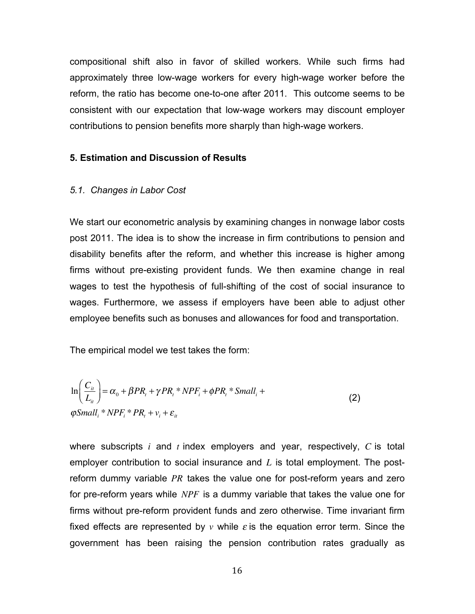compositional shift also in favor of skilled workers. While such firms had approximately three low-wage workers for every high-wage worker before the reform, the ratio has become one-to-one after 2011. This outcome seems to be consistent with our expectation that low-wage workers may discount employer contributions to pension benefits more sharply than high-wage workers.

## **5. Estimation and Discussion of Results**

#### *5.1. Changes in Labor Cost*

We start our econometric analysis by examining changes in nonwage labor costs post 2011. The idea is to show the increase in firm contributions to pension and disability benefits after the reform, and whether this increase is higher among firms without pre-existing provident funds. We then examine change in real wages to test the hypothesis of full-shifting of the cost of social insurance to wages. Furthermore, we assess if employers have been able to adjust other employee benefits such as bonuses and allowances for food and transportation.

The empirical model we test takes the form:

$$
\ln\left(\frac{C_{ii}}{L_{ii}}\right) = \alpha_0 + \beta PR_i + \gamma PR_i * NPF_i + \phi PR_i * Small_i +
$$
\n
$$
\varphi Small_i * NPF_i * PR_t + \nu_i + \varepsilon_{ii}
$$
\n(2)

where subscripts *i* and *t* index employers and year, respectively, *C* is total employer contribution to social insurance and *L* is total employment. The postreform dummy variable *PR* takes the value one for post-reform years and zero for pre-reform years while *NPF* is a dummy variable that takes the value one for firms without pre-reform provident funds and zero otherwise. Time invariant firm fixed effects are represented by  $\nu$  while  $\varepsilon$  is the equation error term. Since the government has been raising the pension contribution rates gradually as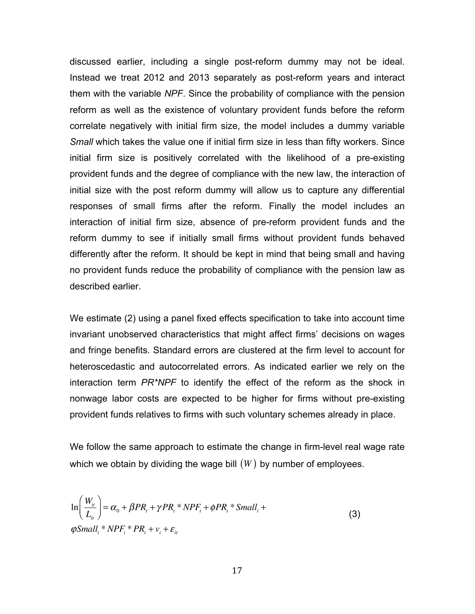discussed earlier, including a single post-reform dummy may not be ideal. Instead we treat 2012 and 2013 separately as post-reform years and interact them with the variable *NPF*. Since the probability of compliance with the pension reform as well as the existence of voluntary provident funds before the reform correlate negatively with initial firm size, the model includes a dummy variable *Small* which takes the value one if initial firm size in less than fifty workers. Since initial firm size is positively correlated with the likelihood of a pre-existing provident funds and the degree of compliance with the new law, the interaction of initial size with the post reform dummy will allow us to capture any differential responses of small firms after the reform. Finally the model includes an interaction of initial firm size, absence of pre-reform provident funds and the reform dummy to see if initially small firms without provident funds behaved differently after the reform. It should be kept in mind that being small and having no provident funds reduce the probability of compliance with the pension law as described earlier.

We estimate (2) using a panel fixed effects specification to take into account time invariant unobserved characteristics that might affect firms' decisions on wages and fringe benefits. Standard errors are clustered at the firm level to account for heteroscedastic and autocorrelated errors. As indicated earlier we rely on the interaction term *PR\*NPF* to identify the effect of the reform as the shock in nonwage labor costs are expected to be higher for firms without pre-existing provident funds relatives to firms with such voluntary schemes already in place.

We follow the same approach to estimate the change in firm-level real wage rate which we obtain by dividing the wage bill  $(W)$  by number of employees.

$$
\ln\left(\frac{W_{ii}}{L_{ii}}\right) = \alpha_0 + \beta PR_t + \gamma PR_t * NPF_i + \phi PR_t * Small_i +
$$
  
\n
$$
\varphi Small_i * NPF_i * PR_t + v_i + \varepsilon_{ii}
$$
\n(3)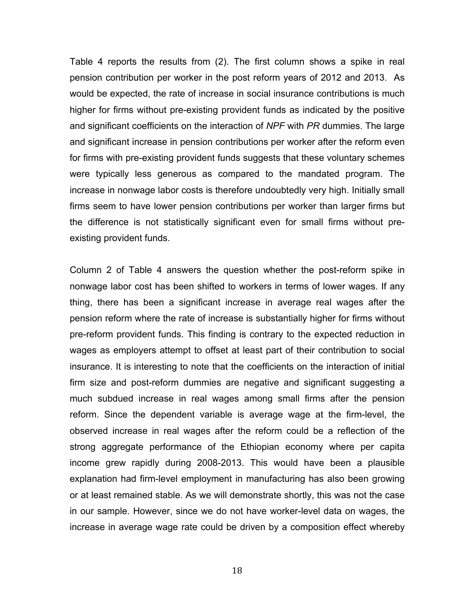Table 4 reports the results from (2). The first column shows a spike in real pension contribution per worker in the post reform years of 2012 and 2013. As would be expected, the rate of increase in social insurance contributions is much higher for firms without pre-existing provident funds as indicated by the positive and significant coefficients on the interaction of *NPF* with *PR* dummies. The large and significant increase in pension contributions per worker after the reform even for firms with pre-existing provident funds suggests that these voluntary schemes were typically less generous as compared to the mandated program. The increase in nonwage labor costs is therefore undoubtedly very high. Initially small firms seem to have lower pension contributions per worker than larger firms but the difference is not statistically significant even for small firms without preexisting provident funds.

Column 2 of Table 4 answers the question whether the post-reform spike in nonwage labor cost has been shifted to workers in terms of lower wages. If any thing, there has been a significant increase in average real wages after the pension reform where the rate of increase is substantially higher for firms without pre-reform provident funds. This finding is contrary to the expected reduction in wages as employers attempt to offset at least part of their contribution to social insurance. It is interesting to note that the coefficients on the interaction of initial firm size and post-reform dummies are negative and significant suggesting a much subdued increase in real wages among small firms after the pension reform. Since the dependent variable is average wage at the firm-level, the observed increase in real wages after the reform could be a reflection of the strong aggregate performance of the Ethiopian economy where per capita income grew rapidly during 2008-2013. This would have been a plausible explanation had firm-level employment in manufacturing has also been growing or at least remained stable. As we will demonstrate shortly, this was not the case in our sample. However, since we do not have worker-level data on wages, the increase in average wage rate could be driven by a composition effect whereby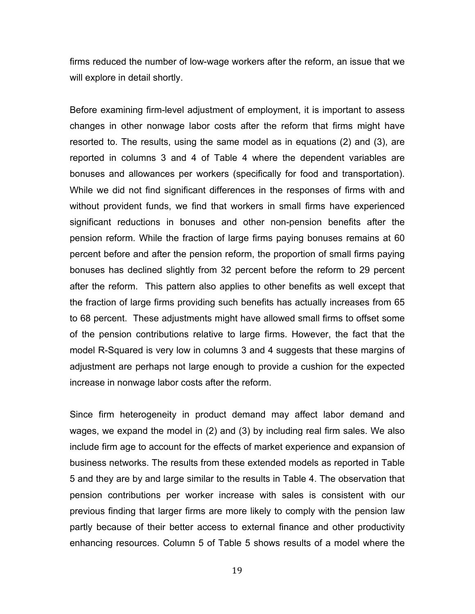firms reduced the number of low-wage workers after the reform, an issue that we will explore in detail shortly.

Before examining firm-level adjustment of employment, it is important to assess changes in other nonwage labor costs after the reform that firms might have resorted to. The results, using the same model as in equations (2) and (3), are reported in columns 3 and 4 of Table 4 where the dependent variables are bonuses and allowances per workers (specifically for food and transportation). While we did not find significant differences in the responses of firms with and without provident funds, we find that workers in small firms have experienced significant reductions in bonuses and other non-pension benefits after the pension reform. While the fraction of large firms paying bonuses remains at 60 percent before and after the pension reform, the proportion of small firms paying bonuses has declined slightly from 32 percent before the reform to 29 percent after the reform. This pattern also applies to other benefits as well except that the fraction of large firms providing such benefits has actually increases from 65 to 68 percent. These adjustments might have allowed small firms to offset some of the pension contributions relative to large firms. However, the fact that the model R-Squared is very low in columns 3 and 4 suggests that these margins of adjustment are perhaps not large enough to provide a cushion for the expected increase in nonwage labor costs after the reform.

Since firm heterogeneity in product demand may affect labor demand and wages, we expand the model in (2) and (3) by including real firm sales. We also include firm age to account for the effects of market experience and expansion of business networks. The results from these extended models as reported in Table 5 and they are by and large similar to the results in Table 4. The observation that pension contributions per worker increase with sales is consistent with our previous finding that larger firms are more likely to comply with the pension law partly because of their better access to external finance and other productivity enhancing resources. Column 5 of Table 5 shows results of a model where the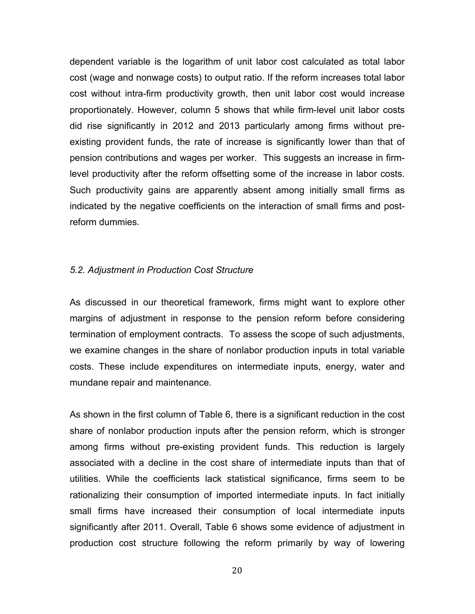dependent variable is the logarithm of unit labor cost calculated as total labor cost (wage and nonwage costs) to output ratio. If the reform increases total labor cost without intra-firm productivity growth, then unit labor cost would increase proportionately. However, column 5 shows that while firm-level unit labor costs did rise significantly in 2012 and 2013 particularly among firms without preexisting provident funds, the rate of increase is significantly lower than that of pension contributions and wages per worker. This suggests an increase in firmlevel productivity after the reform offsetting some of the increase in labor costs. Such productivity gains are apparently absent among initially small firms as indicated by the negative coefficients on the interaction of small firms and postreform dummies.

#### *5.2. Adjustment in Production Cost Structure*

As discussed in our theoretical framework, firms might want to explore other margins of adjustment in response to the pension reform before considering termination of employment contracts. To assess the scope of such adjustments, we examine changes in the share of nonlabor production inputs in total variable costs. These include expenditures on intermediate inputs, energy, water and mundane repair and maintenance.

As shown in the first column of Table 6, there is a significant reduction in the cost share of nonlabor production inputs after the pension reform, which is stronger among firms without pre-existing provident funds. This reduction is largely associated with a decline in the cost share of intermediate inputs than that of utilities. While the coefficients lack statistical significance, firms seem to be rationalizing their consumption of imported intermediate inputs. In fact initially small firms have increased their consumption of local intermediate inputs significantly after 2011. Overall, Table 6 shows some evidence of adjustment in production cost structure following the reform primarily by way of lowering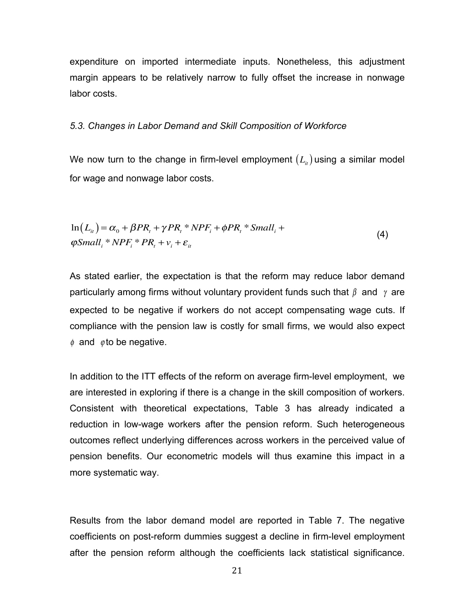expenditure on imported intermediate inputs. Nonetheless, this adjustment margin appears to be relatively narrow to fully offset the increase in nonwage labor costs.

#### *5.3. Changes in Labor Demand and Skill Composition of Workforce*

We now turn to the change in firm-level employment  $(L<sub>i</sub>)$  using a similar model for wage and nonwage labor costs.

$$
\ln(L_{ii}) = \alpha_0 + \beta PR_t + \gamma PR_t * NPF_i + \phi PR_t * Small_i +
$$
  
\n
$$
\varphi Small_i * NPF_i * PR_t + \nu_i + \varepsilon_{it}
$$
\n(4)

As stated earlier, the expectation is that the reform may reduce labor demand particularly among firms without voluntary provident funds such that  $\beta$  and  $\gamma$  are expected to be negative if workers do not accept compensating wage cuts. If compliance with the pension law is costly for small firms, we would also expect  $\phi$  and  $\phi$  to be negative.

In addition to the ITT effects of the reform on average firm-level employment, we are interested in exploring if there is a change in the skill composition of workers. Consistent with theoretical expectations, Table 3 has already indicated a reduction in low-wage workers after the pension reform. Such heterogeneous outcomes reflect underlying differences across workers in the perceived value of pension benefits. Our econometric models will thus examine this impact in a more systematic way.

Results from the labor demand model are reported in Table 7. The negative coefficients on post-reform dummies suggest a decline in firm-level employment after the pension reform although the coefficients lack statistical significance.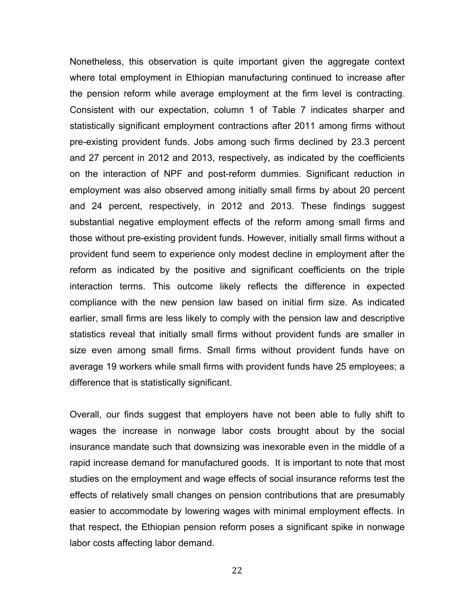Nonetheless, this observation is quite important given the aggregate context where total employment in Ethiopian manufacturing continued to increase after the pension reform while average employment at the firm level is contracting. Consistent with our expectation, column 1 of Table 7 indicates sharper and statistically significant employment contractions after 2011 among firms without pre-existing provident funds. Jobs among such firms declined by 23.3 percent and 27 percent in 2012 and 2013, respectively, as indicated by the coefficients on the interaction of NPF and post-reform dummies. Significant reduction in employment was also observed among initially small firms by about 20 percent and 24 percent, respectively, in 2012 and 2013. These findings suggest substantial negative employment effects of the reform among small firms and those without pre-existing provident funds. However, initially small firms without a provident fund seem to experience only modest decline in employment after the reform as indicated by the positive and significant coefficients on the triple interaction terms. This outcome likely reflects the difference in expected compliance with the new pension law based on initial firm size. As indicated earlier, small firms are less likely to comply with the pension law and descriptive statistics reveal that initially small firms without provident funds are smaller in size even among small firms. Small firms without provident funds have on average 19 workers while small firms with provident funds have 25 employees; a difference that is statistically significant.

Overall, our finds suggest that employers have not been able to fully shift to wages the increase in nonwage labor costs brought about by the social insurance mandate such that downsizing was inexorable even in the middle of a rapid increase demand for manufactured goods. It is important to note that most studies on the employment and wage effects of social insurance reforms test the effects of relatively small changes on pension contributions that are presumably easier to accommodate by lowering wages with minimal employment effects. In that respect, the Ethiopian pension reform poses a significant spike in nonwage labor costs affecting labor demand.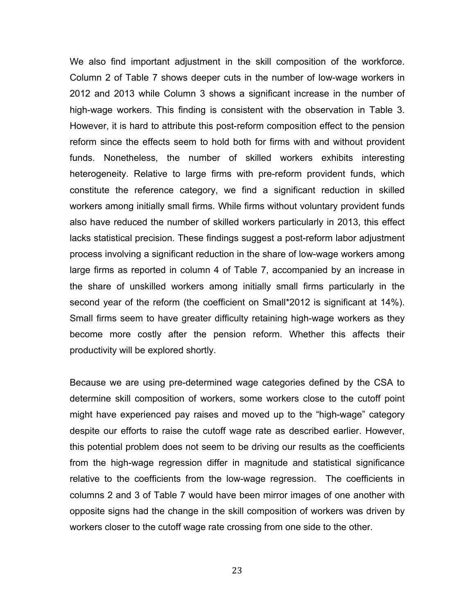We also find important adjustment in the skill composition of the workforce. Column 2 of Table 7 shows deeper cuts in the number of low-wage workers in 2012 and 2013 while Column 3 shows a significant increase in the number of high-wage workers. This finding is consistent with the observation in Table 3. However, it is hard to attribute this post-reform composition effect to the pension reform since the effects seem to hold both for firms with and without provident funds. Nonetheless, the number of skilled workers exhibits interesting heterogeneity. Relative to large firms with pre-reform provident funds, which constitute the reference category, we find a significant reduction in skilled workers among initially small firms. While firms without voluntary provident funds also have reduced the number of skilled workers particularly in 2013, this effect lacks statistical precision. These findings suggest a post-reform labor adjustment process involving a significant reduction in the share of low-wage workers among large firms as reported in column 4 of Table 7, accompanied by an increase in the share of unskilled workers among initially small firms particularly in the second year of the reform (the coefficient on Small\*2012 is significant at 14%). Small firms seem to have greater difficulty retaining high-wage workers as they become more costly after the pension reform. Whether this affects their productivity will be explored shortly.

Because we are using pre-determined wage categories defined by the CSA to determine skill composition of workers, some workers close to the cutoff point might have experienced pay raises and moved up to the "high-wage" category despite our efforts to raise the cutoff wage rate as described earlier. However, this potential problem does not seem to be driving our results as the coefficients from the high-wage regression differ in magnitude and statistical significance relative to the coefficients from the low-wage regression. The coefficients in columns 2 and 3 of Table 7 would have been mirror images of one another with opposite signs had the change in the skill composition of workers was driven by workers closer to the cutoff wage rate crossing from one side to the other.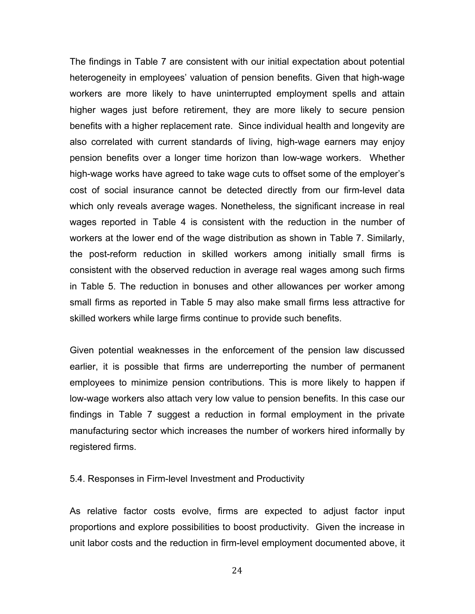The findings in Table 7 are consistent with our initial expectation about potential heterogeneity in employees' valuation of pension benefits. Given that high-wage workers are more likely to have uninterrupted employment spells and attain higher wages just before retirement, they are more likely to secure pension benefits with a higher replacement rate. Since individual health and longevity are also correlated with current standards of living, high-wage earners may enjoy pension benefits over a longer time horizon than low-wage workers. Whether high-wage works have agreed to take wage cuts to offset some of the employer's cost of social insurance cannot be detected directly from our firm-level data which only reveals average wages. Nonetheless, the significant increase in real wages reported in Table 4 is consistent with the reduction in the number of workers at the lower end of the wage distribution as shown in Table 7. Similarly, the post-reform reduction in skilled workers among initially small firms is consistent with the observed reduction in average real wages among such firms in Table 5. The reduction in bonuses and other allowances per worker among small firms as reported in Table 5 may also make small firms less attractive for skilled workers while large firms continue to provide such benefits.

Given potential weaknesses in the enforcement of the pension law discussed earlier, it is possible that firms are underreporting the number of permanent employees to minimize pension contributions. This is more likely to happen if low-wage workers also attach very low value to pension benefits. In this case our findings in Table 7 suggest a reduction in formal employment in the private manufacturing sector which increases the number of workers hired informally by registered firms.

5.4. Responses in Firm-level Investment and Productivity

As relative factor costs evolve, firms are expected to adjust factor input proportions and explore possibilities to boost productivity. Given the increase in unit labor costs and the reduction in firm-level employment documented above, it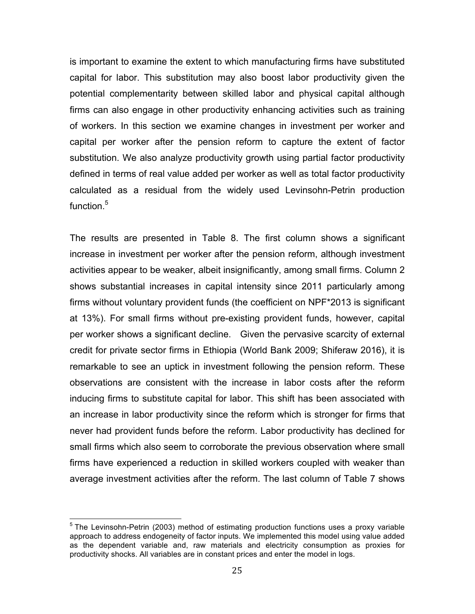is important to examine the extent to which manufacturing firms have substituted capital for labor. This substitution may also boost labor productivity given the potential complementarity between skilled labor and physical capital although firms can also engage in other productivity enhancing activities such as training of workers. In this section we examine changes in investment per worker and capital per worker after the pension reform to capture the extent of factor substitution. We also analyze productivity growth using partial factor productivity defined in terms of real value added per worker as well as total factor productivity calculated as a residual from the widely used Levinsohn-Petrin production function.<sup>5</sup>

The results are presented in Table 8. The first column shows a significant increase in investment per worker after the pension reform, although investment activities appear to be weaker, albeit insignificantly, among small firms. Column 2 shows substantial increases in capital intensity since 2011 particularly among firms without voluntary provident funds (the coefficient on NPF\*2013 is significant at 13%). For small firms without pre-existing provident funds, however, capital per worker shows a significant decline. Given the pervasive scarcity of external credit for private sector firms in Ethiopia (World Bank 2009; Shiferaw 2016), it is remarkable to see an uptick in investment following the pension reform. These observations are consistent with the increase in labor costs after the reform inducing firms to substitute capital for labor. This shift has been associated with an increase in labor productivity since the reform which is stronger for firms that never had provident funds before the reform. Labor productivity has declined for small firms which also seem to corroborate the previous observation where small firms have experienced a reduction in skilled workers coupled with weaker than average investment activities after the reform. The last column of Table 7 shows

 $<sup>5</sup>$  The Levinsohn-Petrin (2003) method of estimating production functions uses a proxy variable</sup> approach to address endogeneity of factor inputs. We implemented this model using value added as the dependent variable and, raw materials and electricity consumption as proxies for productivity shocks. All variables are in constant prices and enter the model in logs.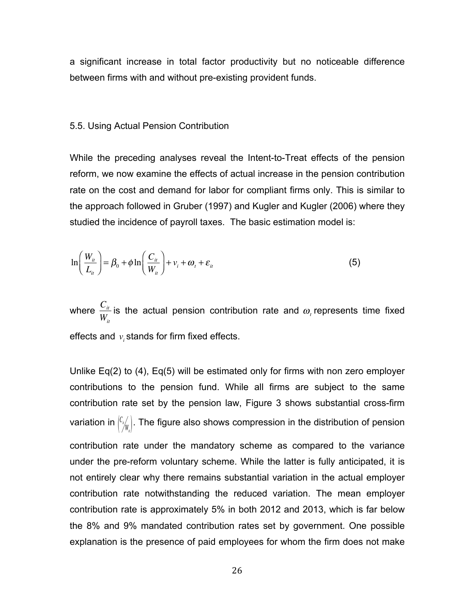a significant increase in total factor productivity but no noticeable difference between firms with and without pre-existing provident funds.

#### 5.5. Using Actual Pension Contribution

While the preceding analyses reveal the Intent-to-Treat effects of the pension reform, we now examine the effects of actual increase in the pension contribution rate on the cost and demand for labor for compliant firms only. This is similar to the approach followed in Gruber (1997) and Kugler and Kugler (2006) where they studied the incidence of payroll taxes. The basic estimation model is:

$$
\ln\left(\frac{W_{ii}}{L_{ii}}\right) = \beta_0 + \phi \ln\left(\frac{C_{ii}}{W_{ii}}\right) + v_i + \omega_t + \varepsilon_{ii}
$$
\n(5)

where  $\frac{C_{it}}{W}$ *Wit* is the actual pension contribution rate and  $\omega$ , represents time fixed effects and  $v_i$  stands for firm fixed effects.

Unlike Eq(2) to (4), Eq(5) will be estimated only for firms with non zero employer contributions to the pension fund. While all firms are subject to the same contribution rate set by the pension law, Figure 3 shows substantial cross-firm variation in  $\binom{C_i}{W_k}$ . The figure also shows compression in the distribution of pension contribution rate under the mandatory scheme as compared to the variance under the pre-reform voluntary scheme. While the latter is fully anticipated, it is not entirely clear why there remains substantial variation in the actual employer contribution rate notwithstanding the reduced variation. The mean employer contribution rate is approximately 5% in both 2012 and 2013, which is far below the 8% and 9% mandated contribution rates set by government. One possible explanation is the presence of paid employees for whom the firm does not make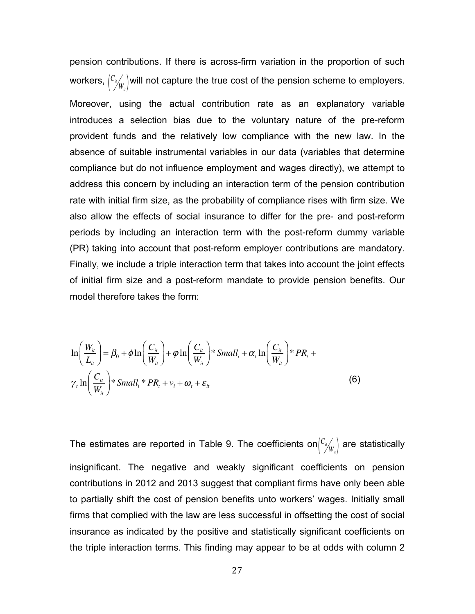pension contributions. If there is across-firm variation in the proportion of such workers,  ${C_i \choose \!{}' \! W_{\!u}}$  will not capture the true cost of the pension scheme to employers. Moreover, using the actual contribution rate as an explanatory variable introduces a selection bias due to the voluntary nature of the pre-reform provident funds and the relatively low compliance with the new law. In the absence of suitable instrumental variables in our data (variables that determine compliance but do not influence employment and wages directly), we attempt to address this concern by including an interaction term of the pension contribution rate with initial firm size, as the probability of compliance rises with firm size. We also allow the effects of social insurance to differ for the pre- and post-reform periods by including an interaction term with the post-reform dummy variable (PR) taking into account that post-reform employer contributions are mandatory. Finally, we include a triple interaction term that takes into account the joint effects of initial firm size and a post-reform mandate to provide pension benefits. Our model therefore takes the form:

$$
\ln\left(\frac{W_{it}}{L_{it}}\right) = \beta_0 + \phi \ln\left(\frac{C_{it}}{W_{it}}\right) + \phi \ln\left(\frac{C_{it}}{W_{it}}\right) * Small_i + \alpha_i \ln\left(\frac{C_{it}}{W_{it}}\right) * PR_i + \gamma_i \ln\left(\frac{C_{it}}{W_{it}}\right) * Small_i * PR_t + \gamma_i \ln\left(\frac{C_{it}}{W_{it}}\right) * Small_i * PR_t + \gamma_i + \omega_i + \varepsilon_{it}
$$
\n(6)

The estimates are reported in Table 9. The coefficients on ${C_{\mathscr{W}}\choose \mathscr{W}_{u}}$  are statistically insignificant. The negative and weakly significant coefficients on pension contributions in 2012 and 2013 suggest that compliant firms have only been able to partially shift the cost of pension benefits unto workers' wages. Initially small firms that complied with the law are less successful in offsetting the cost of social insurance as indicated by the positive and statistically significant coefficients on the triple interaction terms. This finding may appear to be at odds with column 2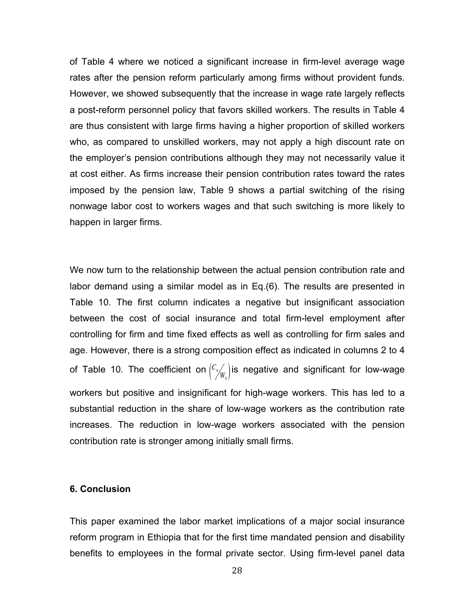of Table 4 where we noticed a significant increase in firm-level average wage rates after the pension reform particularly among firms without provident funds. However, we showed subsequently that the increase in wage rate largely reflects a post-reform personnel policy that favors skilled workers. The results in Table 4 are thus consistent with large firms having a higher proportion of skilled workers who, as compared to unskilled workers, may not apply a high discount rate on the employer's pension contributions although they may not necessarily value it at cost either. As firms increase their pension contribution rates toward the rates imposed by the pension law, Table 9 shows a partial switching of the rising nonwage labor cost to workers wages and that such switching is more likely to happen in larger firms.

We now turn to the relationship between the actual pension contribution rate and labor demand using a similar model as in Eq.(6). The results are presented in Table 10. The first column indicates a negative but insignificant association between the cost of social insurance and total firm-level employment after controlling for firm and time fixed effects as well as controlling for firm sales and age. However, there is a strong composition effect as indicated in columns 2 to 4 of Table 10. The coefficient on  ${c_{\nu} \choose \nu_{w}}$  is negative and significant for low-wage workers but positive and insignificant for high-wage workers. This has led to a substantial reduction in the share of low-wage workers as the contribution rate increases. The reduction in low-wage workers associated with the pension contribution rate is stronger among initially small firms.

#### **6. Conclusion**

This paper examined the labor market implications of a major social insurance reform program in Ethiopia that for the first time mandated pension and disability benefits to employees in the formal private sector. Using firm-level panel data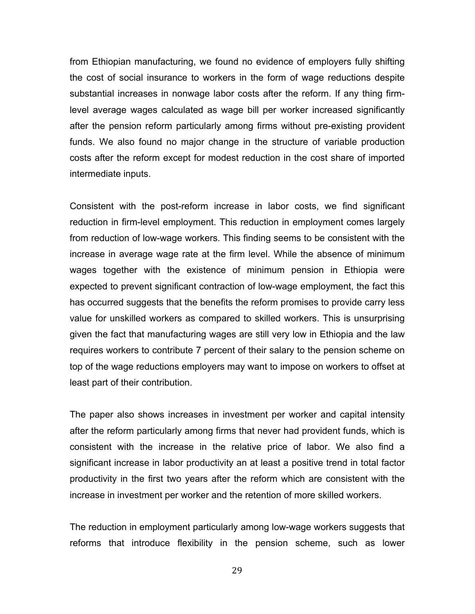from Ethiopian manufacturing, we found no evidence of employers fully shifting the cost of social insurance to workers in the form of wage reductions despite substantial increases in nonwage labor costs after the reform. If any thing firmlevel average wages calculated as wage bill per worker increased significantly after the pension reform particularly among firms without pre-existing provident funds. We also found no major change in the structure of variable production costs after the reform except for modest reduction in the cost share of imported intermediate inputs.

Consistent with the post-reform increase in labor costs, we find significant reduction in firm-level employment. This reduction in employment comes largely from reduction of low-wage workers. This finding seems to be consistent with the increase in average wage rate at the firm level. While the absence of minimum wages together with the existence of minimum pension in Ethiopia were expected to prevent significant contraction of low-wage employment, the fact this has occurred suggests that the benefits the reform promises to provide carry less value for unskilled workers as compared to skilled workers. This is unsurprising given the fact that manufacturing wages are still very low in Ethiopia and the law requires workers to contribute 7 percent of their salary to the pension scheme on top of the wage reductions employers may want to impose on workers to offset at least part of their contribution.

The paper also shows increases in investment per worker and capital intensity after the reform particularly among firms that never had provident funds, which is consistent with the increase in the relative price of labor. We also find a significant increase in labor productivity an at least a positive trend in total factor productivity in the first two years after the reform which are consistent with the increase in investment per worker and the retention of more skilled workers.

The reduction in employment particularly among low-wage workers suggests that reforms that introduce flexibility in the pension scheme, such as lower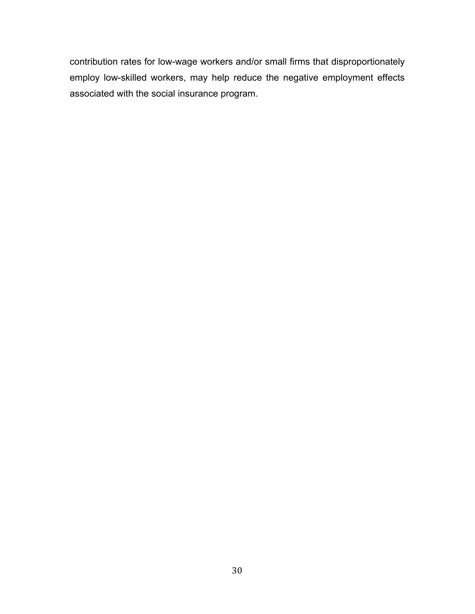contribution rates for low-wage workers and/or small firms that disproportionately employ low-skilled workers, may help reduce the negative employment effects associated with the social insurance program.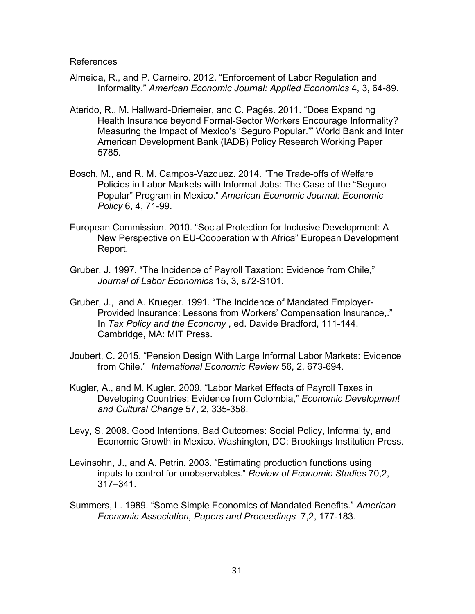References

- Almeida, R., and P. Carneiro. 2012. "Enforcement of Labor Regulation and Informality." *American Economic Journal: Applied Economics* 4, 3, 64-89.
- Aterido, R., M. Hallward-Driemeier, and C. Pagés. 2011. "Does Expanding Health Insurance beyond Formal-Sector Workers Encourage Informality? Measuring the Impact of Mexico's 'Seguro Popular.'" World Bank and Inter American Development Bank (IADB) Policy Research Working Paper 5785.
- Bosch, M., and R. M. Campos-Vazquez. 2014. "The Trade-offs of Welfare Policies in Labor Markets with Informal Jobs: The Case of the "Seguro Popular" Program in Mexico." *American Economic Journal: Economic Policy* 6, 4, 71-99.
- European Commission. 2010. "Social Protection for Inclusive Development: A New Perspective on EU-Cooperation with Africa" European Development Report.
- Gruber, J. 1997. "The Incidence of Payroll Taxation: Evidence from Chile," *Journal of Labor Economics* 15, 3, s72-S101.
- Gruber, J., and A. Krueger. 1991. "The Incidence of Mandated Employer-Provided Insurance: Lessons from Workers' Compensation Insurance,." In *Tax Policy and the Economy* , ed. Davide Bradford, 111-144. Cambridge, MA: MIT Press.
- Joubert, C. 2015. "Pension Design With Large Informal Labor Markets: Evidence from Chile." *International Economic Review* 56, 2, 673-694.
- Kugler, A., and M. Kugler. 2009. "Labor Market Effects of Payroll Taxes in Developing Countries: Evidence from Colombia," *Economic Development and Cultural Change* 57, 2, 335-358.
- Levy, S. 2008. Good Intentions, Bad Outcomes: Social Policy, Informality, and Economic Growth in Mexico. Washington, DC: Brookings Institution Press.
- Levinsohn, J., and A. Petrin. 2003. "Estimating production functions using inputs to control for unobservables." *Review of Economic Studies* 70,2, 317–341.
- Summers, L. 1989. "Some Simple Economics of Mandated Benefits." *American Economic Association, Papers and Proceedings* 7,2, 177-183.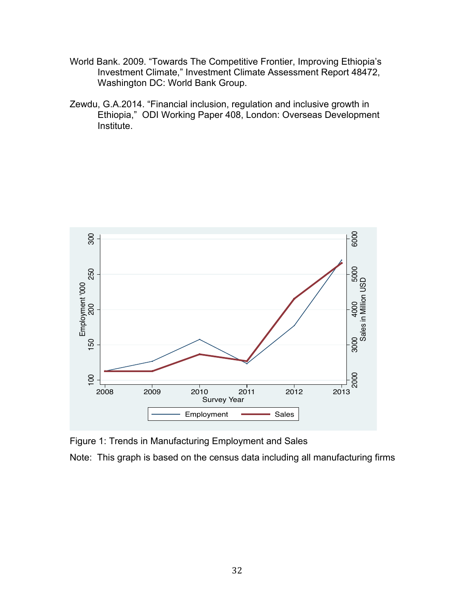- World Bank. 2009. "Towards The Competitive Frontier, Improving Ethiopia's Investment Climate," Investment Climate Assessment Report 48472, Washington DC: World Bank Group.
- Zewdu, G.A.2014. "Financial inclusion, regulation and inclusive growth in Ethiopia," ODI Working Paper 408, London: Overseas Development Institute.



Figure 1: Trends in Manufacturing Employment and Sales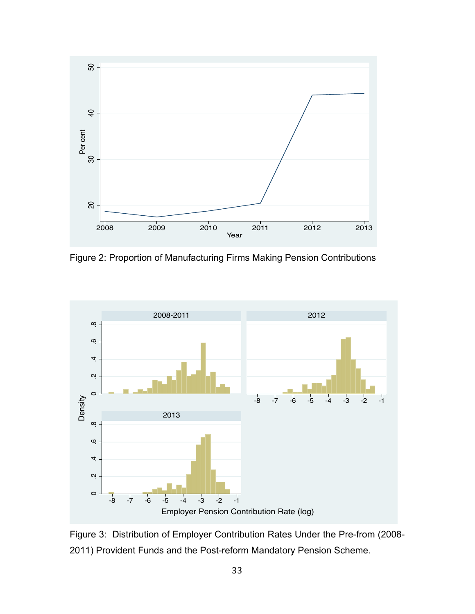

Figure 2: Proportion of Manufacturing Firms Making Pension Contributions



Figure 3: Distribution of Employer Contribution Rates Under the Pre-from (2008-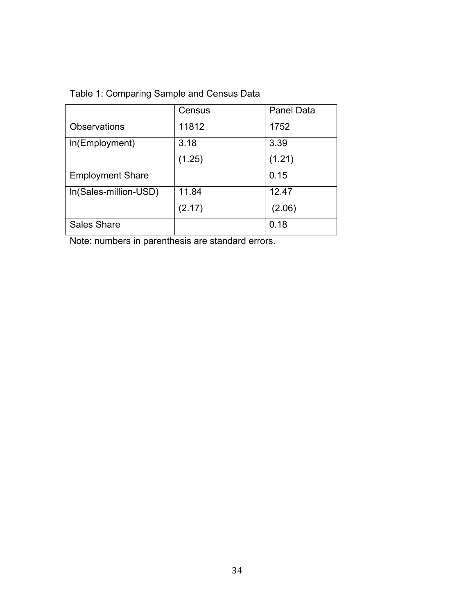# Table 1: Comparing Sample and Census Data

|                         | Census | <b>Panel Data</b> |
|-------------------------|--------|-------------------|
| <b>Observations</b>     | 11812  | 1752              |
| In(Employment)          | 3.18   | 3.39              |
|                         | (1.25) | (1.21)            |
| <b>Employment Share</b> |        | 0.15              |
| In(Sales-million-USD)   | 11.84  | 12.47             |
|                         | (2.17) | (2.06)            |
| <b>Sales Share</b>      |        | 0.18              |

Note: numbers in parenthesis are standard errors.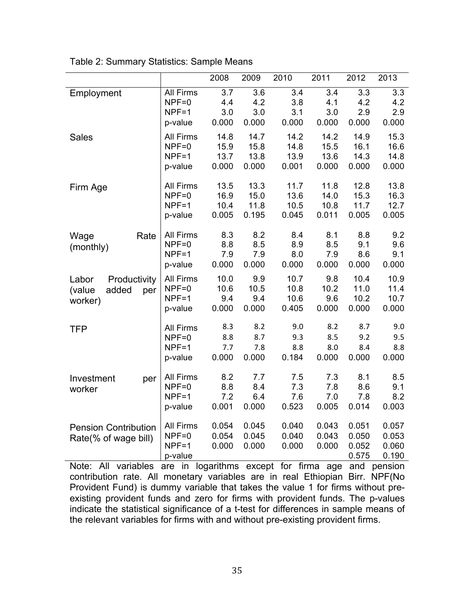|                                                            |                                                   | 2008                          | 2009                          | 2010                          | 2011                          | 2012                             | 2013                             |
|------------------------------------------------------------|---------------------------------------------------|-------------------------------|-------------------------------|-------------------------------|-------------------------------|----------------------------------|----------------------------------|
| Employment                                                 | All Firms<br>$NPF=0$<br>$NPF=1$<br>p-value        | 3.7<br>4.4<br>3.0<br>0.000    | 3.6<br>4.2<br>3.0<br>0.000    | 3.4<br>3.8<br>3.1<br>0.000    | 3.4<br>4.1<br>3.0<br>0.000    | 3.3<br>4.2<br>2.9<br>0.000       | 3.3<br>4.2<br>2.9<br>0.000       |
| <b>Sales</b>                                               | <b>All Firms</b><br>$NPF=0$<br>$NPF=1$<br>p-value | 14.8<br>15.9<br>13.7<br>0.000 | 14.7<br>15.8<br>13.8<br>0.000 | 14.2<br>14.8<br>13.9<br>0.001 | 14.2<br>15.5<br>13.6<br>0.000 | 14.9<br>16.1<br>14.3<br>0.000    | 15.3<br>16.6<br>14.8<br>0.000    |
| Firm Age                                                   | <b>All Firms</b><br>$NPF=0$<br>$NPF=1$<br>p-value | 13.5<br>16.9<br>10.4<br>0.005 | 13.3<br>15.0<br>11.8<br>0.195 | 11.7<br>13.6<br>10.5<br>0.045 | 11.8<br>14.0<br>10.8<br>0.011 | 12.8<br>15.3<br>11.7<br>0.005    | 13.8<br>16.3<br>12.7<br>0.005    |
| Rate<br>Wage<br>(monthly)                                  | <b>All Firms</b><br>$NPF=0$<br>$NPF=1$<br>p-value | 8.3<br>8.8<br>7.9<br>0.000    | 8.2<br>8.5<br>7.9<br>0.000    | 8.4<br>8.9<br>8.0<br>0.000    | 8.1<br>8.5<br>7.9<br>0.000    | 8.8<br>9.1<br>8.6<br>0.000       | 9.2<br>9.6<br>9.1<br>0.000       |
| Productivity<br>Labor<br>added<br>(value<br>per<br>worker) | <b>All Firms</b><br>$NPF=0$<br>$NPF=1$<br>p-value | 10.0<br>10.6<br>9.4<br>0.000  | 9.9<br>10.5<br>9.4<br>0.000   | 10.7<br>10.8<br>10.6<br>0.405 | 9.8<br>10.2<br>9.6<br>0.000   | 10.4<br>11.0<br>10.2<br>0.000    | 10.9<br>11.4<br>10.7<br>0.000    |
| <b>TFP</b>                                                 | <b>All Firms</b><br>$NPF=0$<br>$NPF=1$<br>p-value | 8.3<br>8.8<br>7.7<br>0.000    | 8.2<br>8.7<br>7.8<br>0.000    | 9.0<br>9.3<br>8.8<br>0.184    | 8.2<br>8.5<br>8.0<br>0.000    | 8.7<br>9.2<br>8.4<br>0.000       | 9.0<br>9.5<br>8.8<br>0.000       |
| Investment<br>per<br>worker                                | <b>All Firms</b><br>$NPF=0$<br>$NPF=1$<br>p-value | 8.2<br>8.8<br>7.2<br>0.001    | 7.7<br>8.4<br>6.4<br>0.000    | 7.5<br>7.3<br>7.6<br>0.523    | 7.3<br>7.8<br>7.0<br>0.005    | 8.1<br>8.6<br>7.8<br>0.014       | 8.5<br>9.1<br>8.2<br>0.003       |
| <b>Pension Contribution</b><br>Rate(% of wage bill)        | <b>All Firms</b><br>$NPF=0$<br>$NPF=1$<br>p-value | 0.054<br>0.054<br>0.000       | 0.045<br>0.045<br>0.000       | 0.040<br>0.040<br>0.000       | 0.043<br>0.043<br>0.000       | 0.051<br>0.050<br>0.052<br>0.575 | 0.057<br>0.053<br>0.060<br>0.190 |

Table 2: Summary Statistics: Sample Means

Note: All variables are in logarithms except for firma age and pension contribution rate. All monetary variables are in real Ethiopian Birr. NPF(No Provident Fund) is dummy variable that takes the value 1 for firms without preexisting provident funds and zero for firms with provident funds. The p-values indicate the statistical significance of a t-test for differences in sample means of the relevant variables for firms with and without pre-existing provident firms.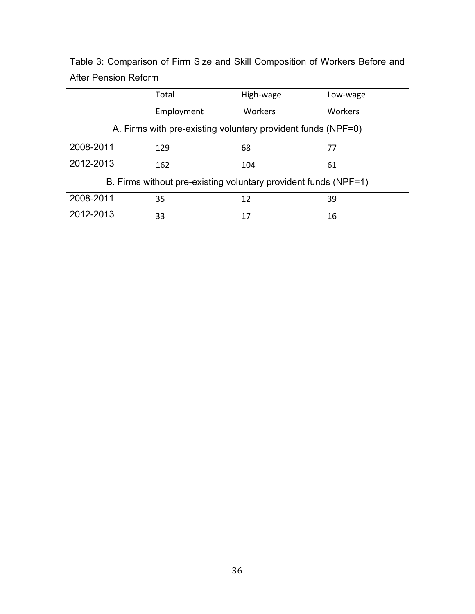|           | Total                                                           | High-wage | Low-wage |
|-----------|-----------------------------------------------------------------|-----------|----------|
|           | Employment                                                      | Workers   | Workers  |
|           | A. Firms with pre-existing voluntary provident funds (NPF=0)    |           |          |
| 2008-2011 | 129                                                             | 68        | 77       |
| 2012-2013 | 162                                                             | 104       | 61       |
|           | B. Firms without pre-existing voluntary provident funds (NPF=1) |           |          |
| 2008-2011 | 35                                                              | 12        | 39       |
| 2012-2013 | 33                                                              | 17        | 16       |

Table 3: Comparison of Firm Size and Skill Composition of Workers Before and After Pension Reform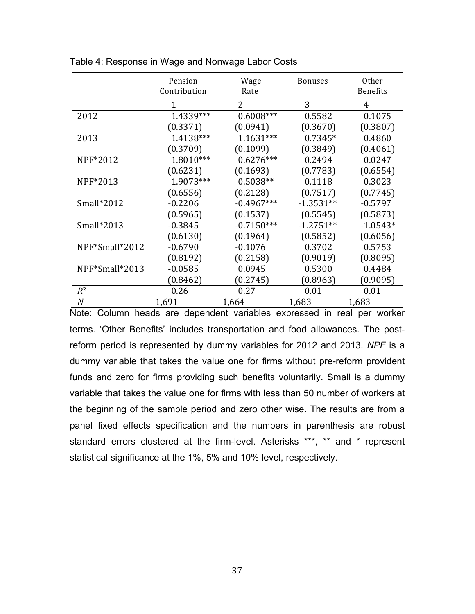|                | Pension<br>Contribution | Wage<br>Rate   | <b>Bonuses</b> | Other<br><b>Benefits</b> |
|----------------|-------------------------|----------------|----------------|--------------------------|
|                | 1                       | $\overline{2}$ | 3              | $\overline{4}$           |
| 2012           | 1.4339***               | $0.6008***$    | 0.5582         | 0.1075                   |
|                | (0.3371)                | (0.0941)       | (0.3670)       | (0.3807)                 |
| 2013           | 1.4138***               | $1.1631***$    | $0.7345*$      | 0.4860                   |
|                | (0.3709)                | (0.1099)       | (0.3849)       | (0.4061)                 |
| NPF*2012       | 1.8010***               | $0.6276***$    | 0.2494         | 0.0247                   |
|                | (0.6231)                | (0.1693)       | (0.7783)       | (0.6554)                 |
| NPF*2013       | 1.9073***               | $0.5038**$     | 0.1118         | 0.3023                   |
|                | (0.6556)                | (0.2128)       | (0.7517)       | (0.7745)                 |
| Small $*2012$  | $-0.2206$               | $-0.4967***$   | $-1.3531**$    | $-0.5797$                |
|                | (0.5965)                | (0.1537)       | (0.5545)       | (0.5873)                 |
| Small*2013     | $-0.3845$               | $-0.7150***$   | $-1.2751**$    | $-1.0543*$               |
|                | (0.6130)                | (0.1964)       | (0.5852)       | (0.6056)                 |
| NPF*Small*2012 | $-0.6790$               | $-0.1076$      | 0.3702         | 0.5753                   |
|                | (0.8192)                | (0.2158)       | (0.9019)       | (0.8095)                 |
| NPF*Small*2013 | $-0.0585$               | 0.0945         | 0.5300         | 0.4484                   |
|                | (0.8462)                | (0.2745)       | (0.8963)       | (0.9095)                 |
| $R^2$          | 0.26                    | 0.27           | 0.01           | 0.01                     |
| N              | 1,691                   | 1,664          | 1,683          | 1,683                    |

Table 4: Response in Wage and Nonwage Labor Costs

Note: Column heads are dependent variables expressed in real per worker terms. 'Other Benefits' includes transportation and food allowances. The postreform period is represented by dummy variables for 2012 and 2013. *NPF* is a dummy variable that takes the value one for firms without pre-reform provident funds and zero for firms providing such benefits voluntarily. Small is a dummy variable that takes the value one for firms with less than 50 number of workers at the beginning of the sample period and zero other wise. The results are from a panel fixed effects specification and the numbers in parenthesis are robust standard errors clustered at the firm-level. Asterisks \*\*\*, \*\* and \* represent statistical significance at the 1%, 5% and 10% level, respectively.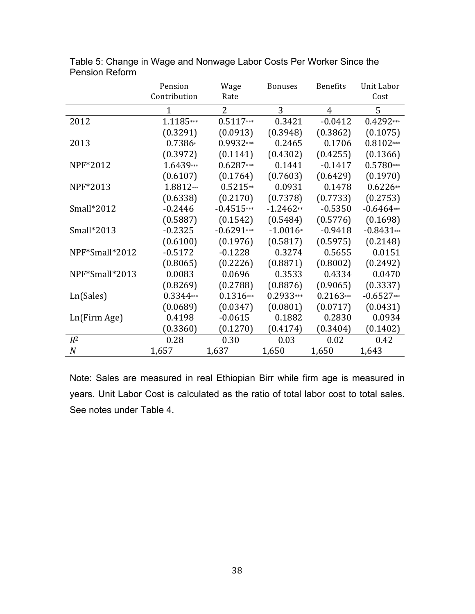|                  | Pension<br>Contribution | Wage<br>Rate   | <b>Bonuses</b> | <b>Benefits</b> | <b>Unit Labor</b><br>Cost |
|------------------|-------------------------|----------------|----------------|-----------------|---------------------------|
|                  | $\mathbf{1}$            | $\overline{2}$ | 3              | $\overline{4}$  | 5                         |
| 2012             | 1.1185***               | $0.5117***$    | 0.3421         | $-0.0412$       | $0.4292***$               |
|                  | (0.3291)                | (0.0913)       | (0.3948)       | (0.3862)        | (0.1075)                  |
| 2013             | 0.7386*                 | 0.9932***      | 0.2465         | 0.1706          | $0.8102***$               |
|                  | (0.3972)                | (0.1141)       | (0.4302)       | (0.4255)        | (0.1366)                  |
| NPF*2012         | 1.6439***               | $0.6287***$    | 0.1441         | $-0.1417$       | $0.5780***$               |
|                  | (0.6107)                | (0.1764)       | (0.7603)       | (0.6429)        | (0.1970)                  |
| NPF*2013         | 1.8812***               | $0.5215**$     | 0.0931         | 0.1478          | $0.6226**$                |
|                  | (0.6338)                | (0.2170)       | (0.7378)       | (0.7733)        | (0.2753)                  |
| Small*2012       | $-0.2446$               | $-0.4515***$   | $-1.2462**$    | $-0.5350$       | $-0.6464***$              |
|                  | (0.5887)                | (0.1542)       | (0.5484)       | (0.5776)        | (0.1698)                  |
| Small*2013       | $-0.2325$               | $-0.6291***$   | $-1.0016*$     | $-0.9418$       | $-0.8431**$               |
|                  | (0.6100)                | (0.1976)       | (0.5817)       | (0.5975)        | (0.2148)                  |
| NPF*Small*2012   | $-0.5172$               | $-0.1228$      | 0.3274         | 0.5655          | 0.0151                    |
|                  | (0.8065)                | (0.2226)       | (0.8871)       | (0.8002)        | (0.2492)                  |
| NPF*Small*2013   | 0.0083                  | 0.0696         | 0.3533         | 0.4334          | 0.0470                    |
|                  | (0.8269)                | (0.2788)       | (0.8876)       | (0.9065)        | (0.3337)                  |
| Ln(Sales)        | 0.3344***               | $0.1316***$    | $0.2933***$    | $0.2163***$     | $-0.6527***$              |
|                  | (0.0689)                | (0.0347)       | (0.0801)       | (0.0717)        | (0.0431)                  |
| Ln(Firm Age)     | 0.4198                  | $-0.0615$      | 0.1882         | 0.2830          | 0.0934                    |
|                  | (0.3360)                | (0.1270)       | (0.4174)       | (0.3404)        | (0.1402)                  |
| $R^2$            | 0.28                    | 0.30           | 0.03           | 0.02            | 0.42                      |
| $\boldsymbol{N}$ | 1,657                   | 1,637          | 1,650          | 1,650           | 1,643                     |

Table 5: Change in Wage and Nonwage Labor Costs Per Worker Since the Pension Reform

Note: Sales are measured in real Ethiopian Birr while firm age is measured in years. Unit Labor Cost is calculated as the ratio of total labor cost to total sales. See notes under Table 4.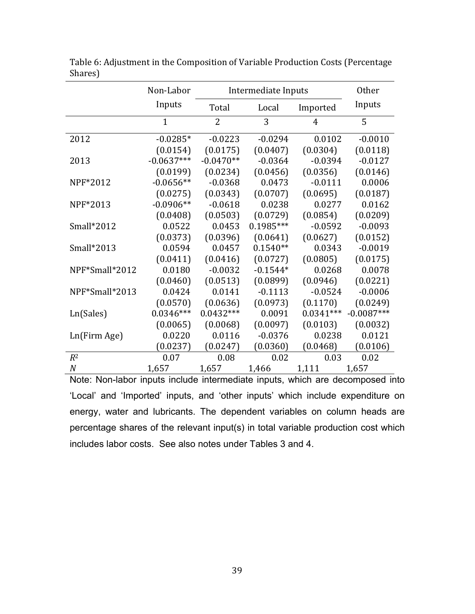|                  | Non-Labor    | Intermediate Inputs |             |             | Other        |
|------------------|--------------|---------------------|-------------|-------------|--------------|
|                  | Inputs       | Total               | Local       | Imported    | Inputs       |
|                  | $\mathbf{1}$ | $\overline{2}$      | 3           | 4           | 5            |
| 2012             | $-0.0285*$   | $-0.0223$           | $-0.0294$   | 0.0102      | $-0.0010$    |
|                  | (0.0154)     | (0.0175)            | (0.0407)    | (0.0304)    | (0.0118)     |
| 2013             | $-0.0637***$ | $-0.0470**$         | $-0.0364$   | $-0.0394$   | $-0.0127$    |
|                  | (0.0199)     | (0.0234)            | (0.0456)    | (0.0356)    | (0.0146)     |
| NPF*2012         | $-0.0656**$  | $-0.0368$           | 0.0473      | $-0.0111$   | 0.0006       |
|                  | (0.0275)     | (0.0343)            | (0.0707)    | (0.0695)    | (0.0187)     |
| NPF*2013         | $-0.0906**$  | $-0.0618$           | 0.0238      | 0.0277      | 0.0162       |
|                  | (0.0408)     | (0.0503)            | (0.0729)    | (0.0854)    | (0.0209)     |
| Small*2012       | 0.0522       | 0.0453              | $0.1985***$ | $-0.0592$   | $-0.0093$    |
|                  | (0.0373)     | (0.0396)            | (0.0641)    | (0.0627)    | (0.0152)     |
| Small*2013       | 0.0594       | 0.0457              | $0.1540**$  | 0.0343      | $-0.0019$    |
|                  | (0.0411)     | (0.0416)            | (0.0727)    | (0.0805)    | (0.0175)     |
| NPF*Small*2012   | 0.0180       | $-0.0032$           | $-0.1544*$  | 0.0268      | 0.0078       |
|                  | (0.0460)     | (0.0513)            | (0.0899)    | (0.0946)    | (0.0221)     |
| NPF*Small*2013   | 0.0424       | 0.0141              | $-0.1113$   | $-0.0524$   | $-0.0006$    |
|                  | (0.0570)     | (0.0636)            | (0.0973)    | (0.1170)    | (0.0249)     |
| Ln(Sales)        | $0.0346***$  | $0.0432***$         | 0.0091      | $0.0341***$ | $-0.0087***$ |
|                  | (0.0065)     | (0.0068)            | (0.0097)    | (0.0103)    | (0.0032)     |
| Ln(Firm Age)     | 0.0220       | 0.0116              | $-0.0376$   | 0.0238      | 0.0121       |
|                  | (0.0237)     | (0.0247)            | (0.0360)    | (0.0468)    | (0.0106)     |
| $R^2$            | 0.07         | 0.08                | 0.02        | 0.03        | 0.02         |
| $\boldsymbol{N}$ | 1,657        | 1,657               | 1,466       | 1,111       | 1,657        |

Table 6: Adjustment in the Composition of Variable Production Costs (Percentage Shares)

Note: Non-labor inputs include intermediate inputs, which are decomposed into 'Local' and 'Imported' inputs, and 'other inputs' which include expenditure on energy, water and lubricants. The dependent variables on column heads are percentage shares of the relevant input(s) in total variable production cost which includes labor costs. See also notes under Tables 3 and 4.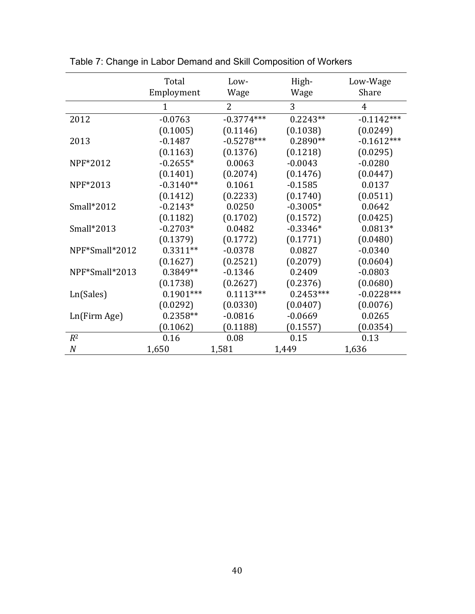|                  | Total          | Low-           | High-       | Low-Wage       |
|------------------|----------------|----------------|-------------|----------------|
|                  | Employment     | Wage           | Wage        | Share          |
|                  | $\overline{1}$ | $\overline{2}$ | 3           | $\overline{4}$ |
| 2012             | $-0.0763$      | $-0.3774***$   | $0.2243**$  | $-0.1142***$   |
|                  | (0.1005)       | (0.1146)       | (0.1038)    | (0.0249)       |
| 2013             | $-0.1487$      | $-0.5278***$   | $0.2890**$  | $-0.1612***$   |
|                  | (0.1163)       | (0.1376)       | (0.1218)    | (0.0295)       |
| NPF*2012         | $-0.2655*$     | 0.0063         | $-0.0043$   | $-0.0280$      |
|                  | (0.1401)       | (0.2074)       | (0.1476)    | (0.0447)       |
| NPF*2013         | $-0.3140**$    | 0.1061         | $-0.1585$   | 0.0137         |
|                  | (0.1412)       | (0.2233)       | (0.1740)    | (0.0511)       |
| Small*2012       | $-0.2143*$     | 0.0250         | $-0.3005*$  | 0.0642         |
|                  | (0.1182)       | (0.1702)       | (0.1572)    | (0.0425)       |
| Small*2013       | $-0.2703*$     | 0.0482         | $-0.3346*$  | $0.0813*$      |
|                  | (0.1379)       | (0.1772)       | (0.1771)    | (0.0480)       |
| NPF*Small*2012   | $0.3311**$     | $-0.0378$      | 0.0827      | $-0.0340$      |
|                  | (0.1627)       | (0.2521)       | (0.2079)    | (0.0604)       |
| NPF*Small*2013   | 0.3849**       | $-0.1346$      | 0.2409      | $-0.0803$      |
|                  | (0.1738)       | (0.2627)       | (0.2376)    | (0.0680)       |
| Ln(Sales)        | $0.1901***$    | $0.1113***$    | $0.2453***$ | $-0.0228***$   |
|                  | (0.0292)       | (0.0330)       | (0.0407)    | (0.0076)       |
| Ln(Firm Age)     | $0.2358**$     | $-0.0816$      | $-0.0669$   | 0.0265         |
|                  | (0.1062)       | (0.1188)       | (0.1557)    | (0.0354)       |
| $R^2$            | 0.16           | 0.08           | 0.15        | 0.13           |
| $\boldsymbol{N}$ | 1,650          | 1,581          | 1,449       | 1,636          |

Table 7: Change in Labor Demand and Skill Composition of Workers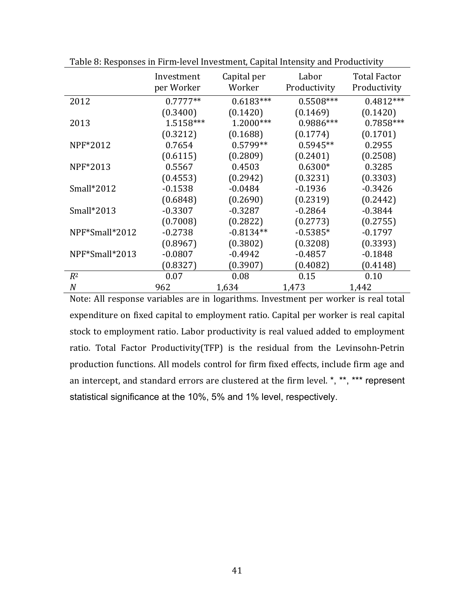|                | Investment<br>per Worker | Capital per<br>Worker | Labor<br>Productivity | <b>Total Factor</b><br>Productivity |
|----------------|--------------------------|-----------------------|-----------------------|-------------------------------------|
| 2012           | $0.7777**$               | $0.6183***$           | $0.5508***$           | $0.4812***$                         |
|                | (0.3400)                 | (0.1420)              | (0.1469)              | (0.1420)                            |
| 2013           | 1.5158***                | 1.2000***             | 0.9886***             | $0.7858***$                         |
|                | (0.3212)                 | (0.1688)              | (0.1774)              | (0.1701)                            |
| NPF*2012       | 0.7654                   | $0.5799**$            | $0.5945**$            | 0.2955                              |
|                | (0.6115)                 | (0.2809)              | (0.2401)              | (0.2508)                            |
| NPF*2013       | 0.5567                   | 0.4503                | $0.6300*$             | 0.3285                              |
|                | (0.4553)                 | (0.2942)              | (0.3231)              | (0.3303)                            |
| Small $*2012$  | $-0.1538$                | $-0.0484$             | $-0.1936$             | $-0.3426$                           |
|                | (0.6848)                 | (0.2690)              | (0.2319)              | (0.2442)                            |
| $Small*2013$   | $-0.3307$                | $-0.3287$             | $-0.2864$             | $-0.3844$                           |
|                | (0.7008)                 | (0.2822)              | (0.2773)              | (0.2755)                            |
| NPF*Small*2012 | $-0.2738$                | $-0.8134**$           | $-0.5385*$            | $-0.1797$                           |
|                | (0.8967)                 | (0.3802)              | (0.3208)              | (0.3393)                            |
| NPF*Small*2013 | $-0.0807$                | $-0.4942$             | $-0.4857$             | $-0.1848$                           |
|                | (0.8327)                 | (0.3907)              | (0.4082)              | (0.4148)                            |
| $R^2$          | 0.07                     | 0.08                  | 0.15                  | 0.10                                |
| N              | 962                      | 1,634                 | 1,473                 | 1,442                               |

Table 8: Responses in Firm-level Investment, Capital Intensity and Productivity

Note: All response variables are in logarithms. Investment per worker is real total expenditure on fixed capital to employment ratio. Capital per worker is real capital stock to employment ratio. Labor productivity is real valued added to employment ratio. Total Factor Productivity(TFP) is the residual from the Levinsohn-Petrin production functions. All models control for firm fixed effects, include firm age and an intercept, and standard errors are clustered at the firm level.  $*,$  \*\*, \*\*\* represent statistical significance at the 10%, 5% and 1% level, respectively.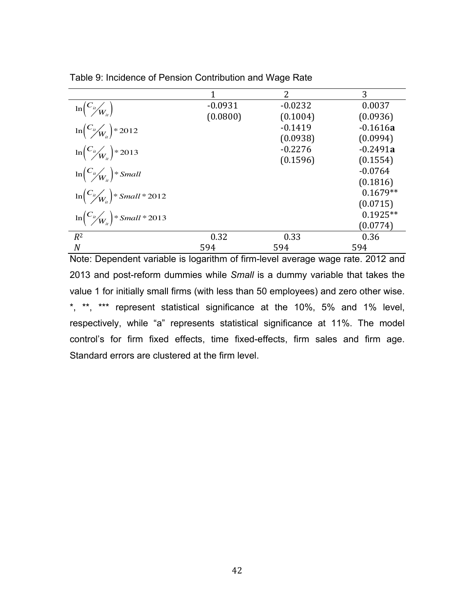|                                                        | 1         | 2         | 3          |
|--------------------------------------------------------|-----------|-----------|------------|
| $\ln\left(\frac{C_{it}}{W_{it}}\right)$                | $-0.0931$ | $-0.0232$ | 0.0037     |
|                                                        | (0.0800)  | (0.1004)  | (0.0936)   |
| $\ln \left( \frac{C_{u}}{W_{u}} \right) \approx 2012$  |           | $-0.1419$ | $-0.1616a$ |
|                                                        |           | (0.0938)  | (0.0994)   |
| $\ln \left( \frac{C_{u}}{W_{u}} \right) \approx 2013$  |           | $-0.2276$ | $-0.2491a$ |
|                                                        |           | (0.1596)  | (0.1554)   |
| $\ln\left(\frac{C_{ii}}{W_{ii}}\right)$ * Small        |           |           | $-0.0764$  |
|                                                        |           |           | (0.1816)   |
| $\ln\left(\frac{C_{it}}{W_{it}}\right)$ * Small * 2012 |           |           | $0.1679**$ |
|                                                        |           |           | (0.0715)   |
| $\ln\left(\frac{C_{u}}{W_{u}}\right)$ * Small * 2013   |           |           | $0.1925**$ |
|                                                        |           |           | (0.0774)   |
| $R^2$                                                  | 0.32      | 0.33      | 0.36       |
| N                                                      | 594       | 594       | 594        |

Table 9: Incidence of Pension Contribution and Wage Rate

Note: Dependent variable is logarithm of firm-level average wage rate. 2012 and 2013 and post-reform dummies while *Small* is a dummy variable that takes the value 1 for initially small firms (with less than 50 employees) and zero other wise. \*, \*\*, \*\*\* represent statistical significance at the 10%, 5% and 1% level, respectively, while "a" represents statistical significance at 11%. The model control's for firm fixed effects, time fixed-effects, firm sales and firm age. Standard errors are clustered at the firm level.